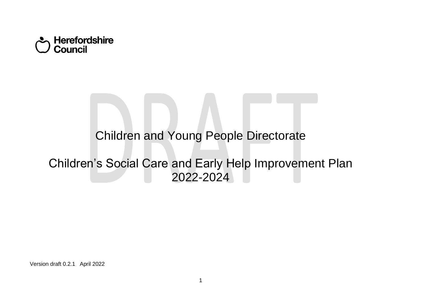

# Children and Young People Directorate

# Children's Social Care and Early Help Improvement Plan 2022-2024

Version draft 0.2.1 April 2022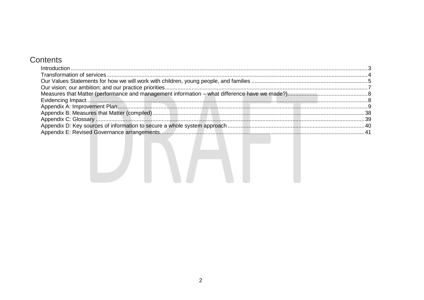### Contents

| $\int_0^{\infty} \frac{1}{1 + \left( \frac{1}{1 + \left( \frac{1}{1 + \left( \frac{1}{1 + \left( \frac{1}{1 + \left( \frac{1}{1 + \left( \frac{1}{1 + \left( \frac{1}{1 + \left( \frac{1}{1 + \left( \frac{1}{1 + \left( \frac{1}{1 + \left( \frac{1}{1 + \left( \frac{1}{1 + \left( \frac{1}{1 + \left( \frac{1}{1 + \left( \frac{1}{1 + \left( \frac{1}{1 + \left( \frac{1}{1 + \left( \frac{1}{1 + \left( \frac{1}{1 + \left( \frac{1}{1 + \left( \$ |  |
|---------------------------------------------------------------------------------------------------------------------------------------------------------------------------------------------------------------------------------------------------------------------------------------------------------------------------------------------------------------------------------------------------------------------------------------------------------|--|
|                                                                                                                                                                                                                                                                                                                                                                                                                                                         |  |
|                                                                                                                                                                                                                                                                                                                                                                                                                                                         |  |
|                                                                                                                                                                                                                                                                                                                                                                                                                                                         |  |
|                                                                                                                                                                                                                                                                                                                                                                                                                                                         |  |
|                                                                                                                                                                                                                                                                                                                                                                                                                                                         |  |
|                                                                                                                                                                                                                                                                                                                                                                                                                                                         |  |
|                                                                                                                                                                                                                                                                                                                                                                                                                                                         |  |
|                                                                                                                                                                                                                                                                                                                                                                                                                                                         |  |
|                                                                                                                                                                                                                                                                                                                                                                                                                                                         |  |
|                                                                                                                                                                                                                                                                                                                                                                                                                                                         |  |

LANT I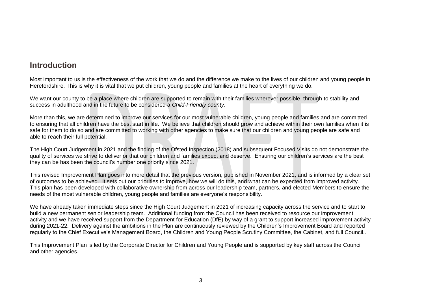## <span id="page-2-0"></span>**Introduction**

Most important to us is the effectiveness of the work that we do and the difference we make to the lives of our children and young people in Herefordshire. This is why it is vital that we put children, young people and families at the heart of everything we do.

We want our county to be a place where children are supported to remain with their families wherever possible, through to stability and success in adulthood and in the future to be considered a *Child-Friendly county*.

More than this, we are determined to improve our services for our most vulnerable children, young people and families and are committed to ensuring that all children have the best start in life. We believe that children should grow and achieve within their own families when it is safe for them to do so and are committed to working with other agencies to make sure that our children and young people are safe and able to reach their full potential.

The High Court Judgement in 2021 and the finding of the Ofsted Inspection (2018) and subsequent Focused Visits do not demonstrate the quality of services we strive to deliver or that our children and families expect and deserve. Ensuring our children's services are the best they can be has been the council's number one priority since 2021.

This revised Improvement Plan goes into more detail that the previous version, published in November 2021, and is informed by a clear set of outcomes to be achieved. It sets out our priorities to improve, how we will do this, and what can be expected from improved activity. This plan has been developed with collaborative ownership from across our leadership team, partners, and elected Members to ensure the needs of the most vulnerable children, young people and families are everyone's responsibility.

We have already taken immediate steps since the High Court Judgement in 2021 of increasing capacity across the service and to start to build a new permanent senior leadership team. Additional funding from the Council has been received to resource our improvement activity and we have received support from the Department for Education (DfE) by way of a grant to support increased improvement activity during 2021-22. Delivery against the ambitions in the Plan are continuously reviewed by the Children's Improvement Board and reported regularly to the Chief Executive's Management Board, the Children and Young People Scrutiny Committee, the Cabinet, and full Council..

This Improvement Plan is led by the Corporate Director for Children and Young People and is supported by key staff across the Council and other agencies.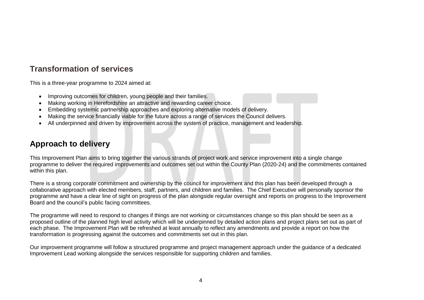## <span id="page-3-0"></span>**Transformation of services**

This is a three-year programme to 2024 aimed at:

- Improving outcomes for children, young people and their families.
- Making working in Herefordshire an attractive and rewarding career choice.
- Embedding systemic partnership approaches and exploring alternative models of delivery.
- Making the service financially viable for the future across a range of services the Council delivers.
- All underpinned and driven by improvement across the system of practice, management and leadership.

## **Approach to delivery**

This Improvement Plan aims to bring together the various strands of project work and service improvement into a single change programme to deliver the required improvements and outcomes set out within the County Plan (2020-24) and the commitments contained within this plan.

There is a strong corporate commitment and ownership by the council for improvement and this plan has been developed through a collaborative approach with elected members, staff, partners, and children and families. The Chief Executive will personally sponsor the programme and have a clear line of sight on progress of the plan alongside regular oversight and reports on progress to the Improvement Board and the council's public facing committees.

The programme will need to respond to changes if things are not working or circumstances change so this plan should be seen as a proposed outline of the planned high level activity which will be underpinned by detailed action plans and project plans set out as part of each phase. The Improvement Plan will be refreshed at least annually to reflect any amendments and provide a report on how the transformation is progressing against the outcomes and commitments set out in this plan.

Our improvement programme will follow a structured programme and project management approach under the guidance of a dedicated Improvement Lead working alongside the services responsible for supporting children and families.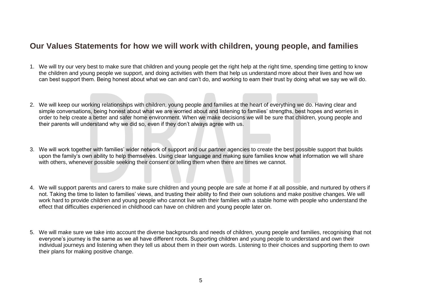### <span id="page-4-0"></span>**Our Values Statements for how we will work with children, young people, and families**

- 1. We will try our very best to make sure that children and young people get the right help at the right time, spending time getting to know the children and young people we support, and doing activities with them that help us understand more about their lives and how we can best support them. Being honest about what we can and can't do, and working to earn their trust by doing what we say we will do.
- 2. We will keep our working relationships with children, young people and families at the heart of everything we do. Having clear and simple conversations, being honest about what we are worried about and listening to families' strengths, best hopes and worries in order to help create a better and safer home environment. When we make decisions we will be sure that children, young people and their parents will understand why we did so, even if they don't always agree with us.
- 3. We will work together with families' wider network of support and our partner agencies to create the best possible support that builds upon the family's own ability to help themselves. Using clear language and making sure families know what information we will share with others, whenever possible seeking their consent or telling them when there are times we cannot.
- 4. We will support parents and carers to make sure children and young people are safe at home if at all possible, and nurtured by others if not. Taking the time to listen to families' views, and trusting their ability to find their own solutions and make positive changes. We will work hard to provide children and young people who cannot live with their families with a stable home with people who understand the effect that difficulties experienced in childhood can have on children and young people later on.
- 5. We will make sure we take into account the diverse backgrounds and needs of children, young people and families, recognising that not everyone's journey is the same as we all have different roots. Supporting children and young people to understand and own their individual journeys and listening when they tell us about them in their own words. Listening to their choices and supporting them to own their plans for making positive change.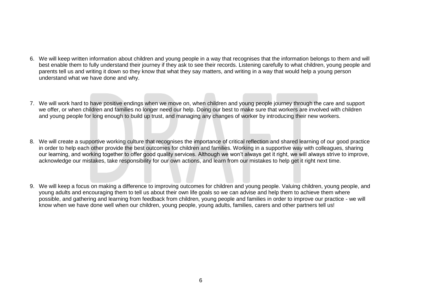- 6. We will keep written information about children and young people in a way that recognises that the information belongs to them and will best enable them to fully understand their journey if they ask to see their records. Listening carefully to what children, young people and parents tell us and writing it down so they know that what they say matters, and writing in a way that would help a young person understand what we have done and why.
- 7. We will work hard to have positive endings when we move on, when children and young people journey through the care and support we offer, or when children and families no longer need our help. Doing our best to make sure that workers are involved with children and young people for long enough to build up trust, and managing any changes of worker by introducing their new workers.
- 8. We will create a supportive working culture that recognises the importance of critical reflection and shared learning of our good practice in order to help each other provide the best outcomes for children and families. Working in a supportive way with colleagues, sharing our learning, and working together to offer good quality services. Although we won't always get it right, we will always strive to improve, acknowledge our mistakes, take responsibility for our own actions, and learn from our mistakes to help get it right next time.
- 9. We will keep a focus on making a difference to improving outcomes for children and young people. Valuing children, young people, and young adults and encouraging them to tell us about their own life goals so we can advise and help them to achieve them where possible, and gathering and learning from feedback from children, young people and families in order to improve our practice - we will know when we have done well when our children, young people, young adults, families, carers and other partners tell us!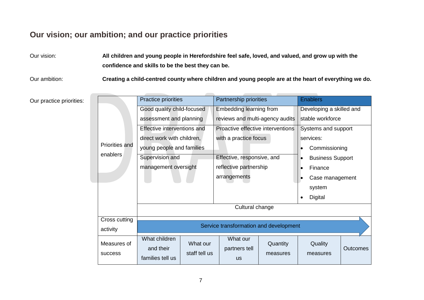## <span id="page-6-0"></span>**Our vision; our ambition; and our practice priorities**

Our vision: **All children and young people in Herefordshire feel safe, loved, and valued, and grow up with the confidence and skills to be the best they can be.**

Our ambition: **Creating a child-centred county where children and young people are at the heart of everything we do.**

Our practice priorities:

|                | <b>Practice priorities</b>  |               | Partnership priorities                 |          | <b>Enablers</b>          |                 |
|----------------|-----------------------------|---------------|----------------------------------------|----------|--------------------------|-----------------|
|                | Good quality child-focused  |               | Embedding learning from                |          | Developing a skilled and |                 |
|                | assessment and planning     |               | reviews and multi-agency audits        |          | stable workforce         |                 |
|                | Effective interventions and |               | Proactive effective interventions      |          | Systems and support      |                 |
|                | direct work with children,  |               | with a practice focus                  |          | services:                |                 |
| Priorities and | young people and families   |               |                                        |          | Commissioning            |                 |
| enablers       | Supervision and             |               | Effective, responsive, and             |          | <b>Business Support</b>  |                 |
|                | management oversight        |               | reflective partnership                 |          | Finance                  |                 |
|                |                             |               | arrangements                           |          | Case management          |                 |
|                |                             |               |                                        |          | system                   |                 |
|                |                             |               |                                        |          | Digital                  |                 |
|                |                             |               | Cultural change                        |          |                          |                 |
| Cross cutting  |                             |               |                                        |          |                          |                 |
| activity       |                             |               | Service transformation and development |          |                          |                 |
| Measures of    | What children<br>and their  | What our      | What our<br>partners tell              | Quantity | Quality                  | <b>Outcomes</b> |
| <b>SUCCESS</b> | families tell us            | staff tell us | <b>us</b>                              | measures | measures                 |                 |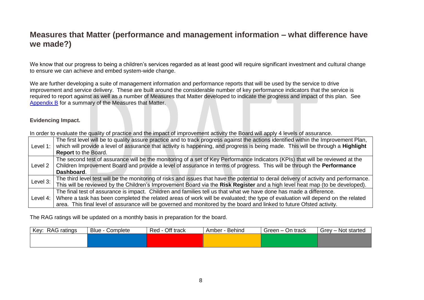## <span id="page-7-0"></span>**Measures that Matter (performance and management information – what difference have we made?)**

We know that our progress to being a children's services regarded as at least good will require significant investment and cultural change to ensure we can achieve and embed system-wide change.

We are further developing a suite of management information and performance reports that will be used by the service to drive improvement and service delivery. These are built around the considerable number of key performance indicators that the service is required to report against as well as a number of Measures that Matter developed to indicate the progress and impact of this plan. See [Appendix B](#page-37-0) for a summary of the Measures that Matter.

#### <span id="page-7-1"></span>**Evidencing Impact.**

In order to evaluate the quality of practice and the impact of improvement activity the Board will apply 4 levels of assurance.

| Level 1:   | The first level will be to quality assure practice and to track progress against the actions identified within the Improvement Plan,<br>which will provide a level of assurance that activity is happening, and progress is being made. This will be through a Highlight |
|------------|--------------------------------------------------------------------------------------------------------------------------------------------------------------------------------------------------------------------------------------------------------------------------|
|            | <b>Report to the Board.</b>                                                                                                                                                                                                                                              |
|            | The second test of assurance will be the monitoring of a set of Key Performance Indicators (KPIs) that will be reviewed at the                                                                                                                                           |
| Level 2    | Children Improvement Board and provide a level of assurance in terms of progress. This will be through the Performance                                                                                                                                                   |
|            | Dashboard.                                                                                                                                                                                                                                                               |
| Level 3:   | The third level test will be the monitoring of risks and issues that have the potential to derail delivery of activity and performance.                                                                                                                                  |
|            | This will be reviewed by the Children's Improvement Board via the Risk Register and a high level heat map (to be developed).                                                                                                                                             |
| Level $4:$ | The final test of assurance is impact. Children and families tell us that what we have done has made a difference.                                                                                                                                                       |
|            | Where a task has been completed the related areas of work will be evaluated; the type of evaluation will depend on the related                                                                                                                                           |
|            | area. This final level of assurance will be governed and monitored by the board and linked to future Ofsted activity.                                                                                                                                                    |

The RAG ratings will be updated on a monthly basis in preparation for the board.

| Key: RAG ratings | $Blue \cdot$<br>Complete | Red - Off track | - Behind<br>Amber - | Green – On track | Grey - Not started |
|------------------|--------------------------|-----------------|---------------------|------------------|--------------------|
|                  |                          |                 |                     |                  |                    |
|                  |                          |                 |                     |                  |                    |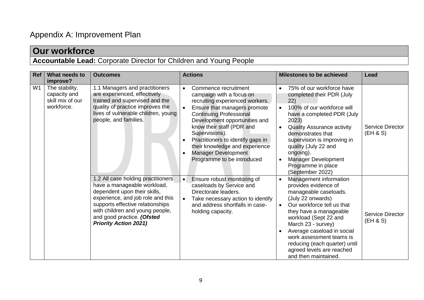# <span id="page-8-0"></span>Appendix A: Improvement Plan

|            | <b>Our workforce</b>                                               |                                                                                                                                                                                                                                                                             |                                                                                                                                                                                                                                                                                                                                                                                             |                                                                                                                                                                                                                                                                                                                                                     |                                     |  |  |  |  |
|------------|--------------------------------------------------------------------|-----------------------------------------------------------------------------------------------------------------------------------------------------------------------------------------------------------------------------------------------------------------------------|---------------------------------------------------------------------------------------------------------------------------------------------------------------------------------------------------------------------------------------------------------------------------------------------------------------------------------------------------------------------------------------------|-----------------------------------------------------------------------------------------------------------------------------------------------------------------------------------------------------------------------------------------------------------------------------------------------------------------------------------------------------|-------------------------------------|--|--|--|--|
|            | Accountable Lead: Corporate Director for Children and Young People |                                                                                                                                                                                                                                                                             |                                                                                                                                                                                                                                                                                                                                                                                             |                                                                                                                                                                                                                                                                                                                                                     |                                     |  |  |  |  |
| <b>Ref</b> | What needs to<br>improve?                                          | <b>Outcomes</b>                                                                                                                                                                                                                                                             | <b>Actions</b>                                                                                                                                                                                                                                                                                                                                                                              | <b>Milestones to be achieved</b>                                                                                                                                                                                                                                                                                                                    | Lead                                |  |  |  |  |
| W1         | The stability,<br>capacity and<br>skill mix of our<br>workforce.   | 1.1 Managers and practitioners<br>are experienced, effectively<br>trained and supervised and the<br>quality of practice improves the<br>lives of vulnerable children, young<br>people, and families.                                                                        | Commence recruitment<br>$\bullet$<br>campaign with a focus on<br>recruiting experienced workers.<br>Ensure that managers promote<br><b>Continuing Professional</b><br>Development opportunities and<br>know their staff (PDR and<br>Supervisions).<br>Practitioners to identify gaps in<br>their knowledge and experience<br>Manager Development<br>$\bullet$<br>Programme to be introduced | 75% of our workforce have<br>completed their PDR (July<br>22)<br>100% of our workforce will<br>have a completed PDR (July<br>2023)<br><b>Quality Assurance activity</b><br>demonstrates that<br>supervision is improving in<br>quality (July 22 and<br>ongoing).<br><b>Manager Development</b><br>Programme in place<br>(September 2022)            | <b>Service Director</b><br>(EH & S) |  |  |  |  |
|            |                                                                    | 1.2 All case holding practitioners<br>have a manageable workload,<br>dependent upon their skills,<br>experience, and job role and this<br>supports effective relationships<br>with children and young people,<br>and good practice. (Ofsted<br><b>Priority Action 2021)</b> | Ensure robust monitoring of<br>$\bullet$<br>caseloads by Service and<br>Directorate leaders.<br>Take necessary action to identify<br>$\bullet$<br>and address shortfalls in case-<br>holding capacity.                                                                                                                                                                                      | Management information<br>provides evidence of<br>manageable caseloads.<br>(July 22 onwards)<br>Our workforce tell us that<br>they have a manageable<br>workload (Sept 22 and<br>March 23 - survey)<br>Average caseload in social<br>work assessment teams is<br>reducing (each quarter) until<br>agreed levels are reached<br>and then maintained. | <b>Service Director</b><br>(EH & S) |  |  |  |  |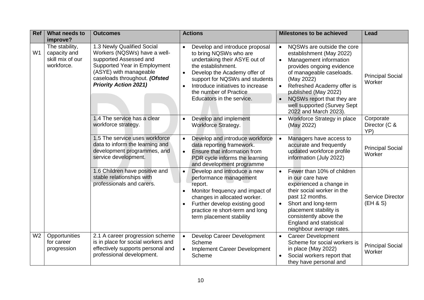| <b>Ref</b>     | What needs to<br>improve?                                        | <b>Outcomes</b>                                                                                                                                                                                                 | <b>Actions</b>                                                                                                                                                                                                                                                                                                       | <b>Milestones to be achieved</b>                                                                                                                                                                                                                                                                                 | Lead                              |
|----------------|------------------------------------------------------------------|-----------------------------------------------------------------------------------------------------------------------------------------------------------------------------------------------------------------|----------------------------------------------------------------------------------------------------------------------------------------------------------------------------------------------------------------------------------------------------------------------------------------------------------------------|------------------------------------------------------------------------------------------------------------------------------------------------------------------------------------------------------------------------------------------------------------------------------------------------------------------|-----------------------------------|
| W <sub>1</sub> | The stability,<br>capacity and<br>skill mix of our<br>workforce. | 1.3 Newly Qualified Social<br>Workers (NQSWs) have a well-<br>supported Assessed and<br>Supported Year in Employment<br>(ASYE) with manageable<br>caseloads throughout. (Ofsted<br><b>Priority Action 2021)</b> | Develop and introduce proposal<br>$\bullet$<br>to bring NQSWs who are<br>undertaking their ASYE out of<br>the establishment.<br>Develop the Academy offer of<br>$\bullet$<br>support for NQSWs and students<br>Introduce initiatives to increase<br>$\bullet$<br>the number of Practice<br>Educators in the service. | NQSWs are outside the core<br>$\bullet$<br>establishment (May 2022)<br>Management information<br>provides ongoing evidence<br>of manageable caseloads.<br>(May 2022)<br>Refreshed Academy offer is<br>published (May 2022)<br>NQSWs report that they are<br>well supported (Survey Sept<br>2022 and March 2023). | <b>Principal Social</b><br>Worker |
|                |                                                                  | 1.4 The service has a clear<br>workforce strategy.                                                                                                                                                              | Develop and implement<br>$\bullet$<br><b>Workforce Strategy.</b>                                                                                                                                                                                                                                                     | Workforce Strategy in place<br>(May 2022)                                                                                                                                                                                                                                                                        | Corporate<br>Director (C &<br>YP) |
|                |                                                                  | 1.5 The service uses workforce<br>data to inform the learning and<br>development programmes, and<br>service development.                                                                                        | Develop and introduce workforce<br>$\bullet$<br>data reporting framework.<br>Ensure that information from<br>$\bullet$<br>PDR cycle informs the learning<br>and development programme                                                                                                                                | Managers have access to<br>accurate and frequently<br>updated workforce profile<br>information (July 2022)                                                                                                                                                                                                       | <b>Principal Social</b><br>Worker |
|                |                                                                  | 1.6 Children have positive and<br>stable relationships with<br>professionals and carers.                                                                                                                        | Develop and introduce a new<br>$\bullet$<br>performance management<br>report.<br>Monitor frequency and impact of<br>$\bullet$<br>changes in allocated worker.<br>Further develop existing good<br>$\bullet$<br>practice re short-term and long<br>term placement stability                                           | Fewer than 10% of children<br>in our care have<br>experienced a change in<br>their social worker in the<br>past 12 months.<br>Short and long-term<br>placement stability is<br>consistently above the<br><b>England and statistical</b><br>neighbour average rates.                                              | Service Director<br>(EH & S)      |
| W <sub>2</sub> | Opportunities<br>for career<br>progression                       | 2.1 A career progression scheme<br>is in place for social workers and<br>effectively supports personal and<br>professional development.                                                                         | Develop Career Development<br>$\bullet$<br>Scheme<br>Implement Career Development<br>$\bullet$<br>Scheme                                                                                                                                                                                                             | <b>Career Development</b><br>Scheme for social workers is<br>in place (May 2022)<br>Social workers report that<br>they have personal and                                                                                                                                                                         | <b>Principal Social</b><br>Worker |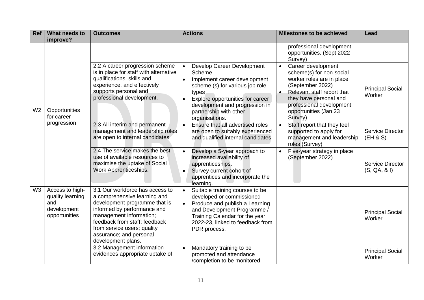| <b>Ref</b>     | What needs to<br>improve?                                                  | <b>Outcomes</b>                                                                                                                                                                                                                                                             | <b>Actions</b>                                                                                                                                                                                                                                                            | <b>Milestones to be achieved</b>                                                                                                                                                                                                     | <b>Lead</b>                             |
|----------------|----------------------------------------------------------------------------|-----------------------------------------------------------------------------------------------------------------------------------------------------------------------------------------------------------------------------------------------------------------------------|---------------------------------------------------------------------------------------------------------------------------------------------------------------------------------------------------------------------------------------------------------------------------|--------------------------------------------------------------------------------------------------------------------------------------------------------------------------------------------------------------------------------------|-----------------------------------------|
|                |                                                                            |                                                                                                                                                                                                                                                                             |                                                                                                                                                                                                                                                                           | professional development<br>opportunities. (Sept 2022<br>Survey)                                                                                                                                                                     |                                         |
| W2             | Opportunities<br>for career                                                | 2.2 A career progression scheme<br>is in place for staff with alternative<br>qualifications, skills and<br>experience, and effectively<br>supports personal and<br>professional development.                                                                                | Develop Career Development<br>$\bullet$<br>Scheme<br>Implement career development<br>$\bullet$<br>scheme (s) for various job role<br>types<br>Explore opportunities for career<br>$\bullet$<br>development and progression in<br>partnership with other<br>organisations. | Career development<br>$\bullet$<br>scheme(s) for non-social<br>worker roles are in place<br>(September 2022)<br>Relevant staff report that<br>they have personal and<br>professional development<br>opportunities (Jan 23<br>Survey) | <b>Principal Social</b><br>Worker       |
|                | progression                                                                | 2.3 All interim and permanent<br>management and leadership roles<br>are open to internal candidates                                                                                                                                                                         | Ensure that all advertised roles<br>$\bullet$<br>are open to suitably experienced<br>and qualified internal candidates.                                                                                                                                                   | Staff report that they feel<br>supported to apply for<br>management and leadership<br>roles (Survey)                                                                                                                                 | Service Director<br>(EH & S)            |
|                |                                                                            | 2.4 The service makes the best<br>use of available resources to<br>maximise the uptake of Social<br>Work Apprenticeships.                                                                                                                                                   | Develop a 5-year approach to<br>$\bullet$<br>increased availability of<br>apprenticeships.<br>Survey current cohort of<br>$\bullet$<br>apprentices and incorporate the<br>learning.                                                                                       | Five-year strategy in place<br>(September 2022)                                                                                                                                                                                      | <b>Service Director</b><br>(S, QA, & I) |
| W <sub>3</sub> | Access to high-<br>quality learning<br>and<br>development<br>opportunities | 3.1 Our workforce has access to<br>a comprehensive learning and<br>development programme that is<br>informed by performance and<br>management information;<br>feedback from staff; feedback<br>from service users; quality<br>assurance; and personal<br>development plans. | Suitable training courses to be<br>$\bullet$<br>developed or commissioned<br>Produce and publish a Learning<br>$\bullet$<br>and Development Programme /<br>Training Calendar for the year<br>2022-23, linked to feedback from<br>PDR process.                             |                                                                                                                                                                                                                                      | <b>Principal Social</b><br>Worker       |
|                |                                                                            | 3.2 Management information<br>evidences appropriate uptake of                                                                                                                                                                                                               | Mandatory training to be<br>$\bullet$<br>promoted and attendance<br>/completion to be monitored                                                                                                                                                                           |                                                                                                                                                                                                                                      | <b>Principal Social</b><br>Worker       |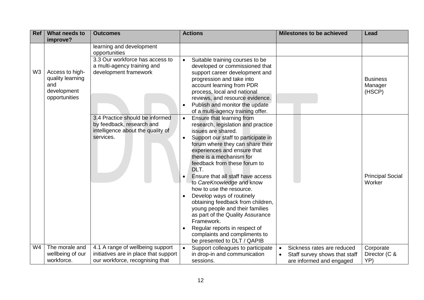| <b>Ref</b>     | What needs to                                                              | <b>Outcomes</b>                                                                                                | <b>Actions</b>                                                                                                                                                                                                                                                                                                                     | <b>Milestones to be achieved</b>                                                        | Lead                                 |
|----------------|----------------------------------------------------------------------------|----------------------------------------------------------------------------------------------------------------|------------------------------------------------------------------------------------------------------------------------------------------------------------------------------------------------------------------------------------------------------------------------------------------------------------------------------------|-----------------------------------------------------------------------------------------|--------------------------------------|
|                | improve?                                                                   |                                                                                                                |                                                                                                                                                                                                                                                                                                                                    |                                                                                         |                                      |
|                |                                                                            | learning and development<br>opportunities                                                                      |                                                                                                                                                                                                                                                                                                                                    |                                                                                         |                                      |
| W <sub>3</sub> | Access to high-<br>quality learning<br>and<br>development<br>opportunities | 3.3 Our workforce has access to<br>a multi-agency training and<br>development framework                        | Suitable training courses to be<br>$\bullet$<br>developed or commissioned that<br>support career development and<br>progression and take into<br>account learning from PDR<br>process, local and national<br>reviews, and resource evidence.<br>Publish and monitor the update<br>of a multi-agency training offer.                |                                                                                         | <b>Business</b><br>Manager<br>(HSCP) |
|                |                                                                            | 3.4 Practice should be informed<br>by feedback, research and<br>intelligence about the quality of<br>services. | Ensure that learning from<br>$\bullet$<br>research, legislation and practice<br>issues are shared.<br>Support our staff to participate in<br>$\bullet$<br>forum where they can share their<br>experiences and ensure that<br>there is a mechanism for<br>feedback from these forum to<br>DLT.<br>Ensure that all staff have access |                                                                                         | <b>Principal Social</b>              |
|                |                                                                            |                                                                                                                | to CareKnowledge and know<br>how to use the resource.<br>Develop ways of routinely<br>obtaining feedback from children,<br>young people and their families<br>as part of the Quality Assurance<br>Framework.<br>Regular reports in respect of<br>$\bullet$<br>complaints and compliments to<br>be presented to DLT / QAPIB         |                                                                                         | Worker                               |
| W4             | The morale and<br>wellbeing of our<br>workforce.                           | 4.1 A range of wellbeing support<br>initiatives are in place that support<br>our workforce, recognising that   | Support colleagues to participate<br>in drop-in and communication<br>sessions.                                                                                                                                                                                                                                                     | Sickness rates are reduced<br>Staff survey shows that staff<br>are informed and engaged | Corporate<br>Director (C &<br>YP)    |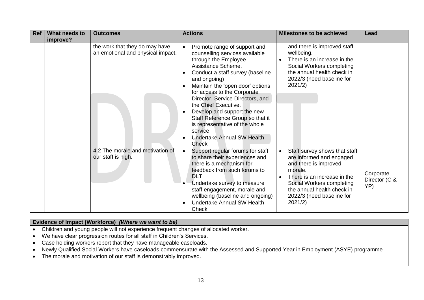| <b>Ref</b> | What needs to<br>improve? | <b>Outcomes</b>                                                     | <b>Actions</b>                                                                                                                                                                                                                                                                                                                                                                                                                                                                                 | <b>Milestones to be achieved</b>                                                                                                                                                                                                                          | Lead                              |
|------------|---------------------------|---------------------------------------------------------------------|------------------------------------------------------------------------------------------------------------------------------------------------------------------------------------------------------------------------------------------------------------------------------------------------------------------------------------------------------------------------------------------------------------------------------------------------------------------------------------------------|-----------------------------------------------------------------------------------------------------------------------------------------------------------------------------------------------------------------------------------------------------------|-----------------------------------|
|            |                           | the work that they do may have<br>an emotional and physical impact. | Promote range of support and<br>$\bullet$<br>counselling services available<br>through the Employee<br>Assistance Scheme.<br>Conduct a staff survey (baseline<br>and ongoing)<br>Maintain the 'open door' options<br>$\bullet$<br>for access to the Corporate<br>Director, Service Directors, and<br>the Chief Executive.<br>Develop and support the new<br>Staff Reference Group so that it<br>is representative of the whole<br>service<br><b>Undertake Annual SW Health</b><br><b>Check</b> | and there is improved staff<br>wellbeing.<br>There is an increase in the<br>$\bullet$<br>Social Workers completing<br>the annual health check in<br>2022/3 (need baseline for<br>2021/2)                                                                  |                                   |
|            |                           | 4.2 The morale and motivation of<br>our staff is high.              | Support regular forums for staff<br>$\bullet$<br>to share their experiences and<br>there is a mechanism for<br>feedback from such forums to<br><b>DLT</b><br>Undertake survey to measure<br>$\bullet$<br>staff engagement, morale and<br>wellbeing (baseline and ongoing)<br>Undertake Annual SW Health<br>$\bullet$<br>Check                                                                                                                                                                  | Staff survey shows that staff<br>$\bullet$<br>are informed and engaged<br>and there is improved<br>morale.<br>There is an increase in the<br>$\bullet$<br>Social Workers completing<br>the annual health check in<br>2022/3 (need baseline for<br>2021/2) | Corporate<br>Director (C &<br>YP) |

#### **Evidence of Impact (Workforce)** *(Where we want to be)*

- Children and young people will not experience frequent changes of allocated worker.
- We have clear progression routes for all staff in Children's Services.
- Case holding workers report that they have manageable caseloads.
- Newly Qualified Social Workers have caseloads commensurate with the Assessed and Supported Year in Employment (ASYE) programme
- The morale and motivation of our staff is demonstrably improved.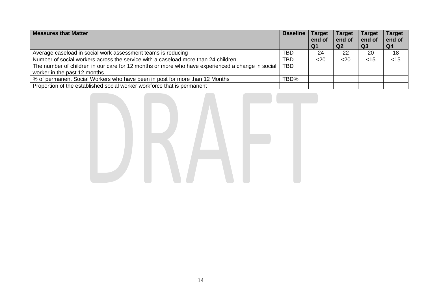| <b>Measures that Matter</b>                                                                      | <b>Baseline   Target</b> | end of<br>Q <sub>1</sub> | <b>Target</b><br>end of<br>Q <sub>2</sub> | <b>Target</b><br>end of<br>Q3 | <b>Target</b><br>end of<br>Q4 |
|--------------------------------------------------------------------------------------------------|--------------------------|--------------------------|-------------------------------------------|-------------------------------|-------------------------------|
| Average caseload in social work assessment teams is reducing                                     | TBD                      | 24                       | 22                                        | 20                            | 18                            |
| Number of social workers across the service with a caseload more than 24 children.               | <b>TBD</b>               | $20$                     | $20$                                      | $<$ 15                        | $<$ 15                        |
| The number of children in our care for 12 months or more who have experienced a change in social | <b>TBD</b>               |                          |                                           |                               |                               |
| worker in the past 12 months                                                                     |                          |                          |                                           |                               |                               |
| % of permanent Social Workers who have been in post for more than 12 Months                      | TBD%                     |                          |                                           |                               |                               |
| Proportion of the established social worker workforce that is permanent                          |                          |                          |                                           |                               |                               |

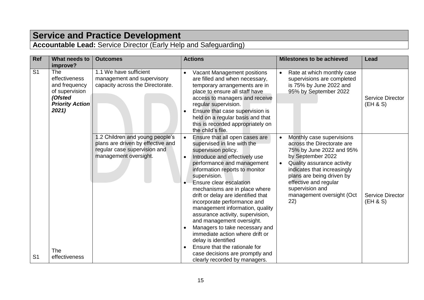## **Service and Practice Development**

**Accountable Lead:** Service Director (Early Help and Safeguarding)

| Ref            | What needs to<br>improve?                                                                                    | <b>Outcomes</b>                                                                                                              | <b>Actions</b>                                                                                                                                                                                                                                                                                                                                                                                                                                                                                                                                                                                                                                                        | <b>Milestones to be achieved</b>                                                                                                                                                                                                                                                   | Lead                                |
|----------------|--------------------------------------------------------------------------------------------------------------|------------------------------------------------------------------------------------------------------------------------------|-----------------------------------------------------------------------------------------------------------------------------------------------------------------------------------------------------------------------------------------------------------------------------------------------------------------------------------------------------------------------------------------------------------------------------------------------------------------------------------------------------------------------------------------------------------------------------------------------------------------------------------------------------------------------|------------------------------------------------------------------------------------------------------------------------------------------------------------------------------------------------------------------------------------------------------------------------------------|-------------------------------------|
| S <sub>1</sub> | <b>The</b><br>effectiveness<br>and frequency<br>of supervision<br>(Ofsted<br><b>Priority Action</b><br>2021) | 1.1 We have sufficient<br>management and supervisory<br>capacity across the Directorate.                                     | Vacant Management positions<br>are filled and when necessary,<br>temporary arrangements are in<br>place to ensure all staff have<br>access to managers and receive<br>regular supervision.<br>Ensure that case supervision is<br>held on a regular basis and that<br>this is recorded appropriately on<br>the child's file.                                                                                                                                                                                                                                                                                                                                           | Rate at which monthly case<br>supervisions are completed<br>is 75% by June 2022 and<br>95% by September 2022                                                                                                                                                                       | Service Director<br>(EH & S)        |
| S <sub>1</sub> | <b>The</b><br>effectiveness                                                                                  | .2 Children and young people's<br>plans are driven by effective and<br>regular case supervision and<br>management oversight. | Ensure that all open cases are<br>supervised in line with the<br>supervision policy.<br>Introduce and effectively use<br>$\bullet$<br>performance and management<br>information reports to monitor<br>supervision.<br>Ensure clear escalation<br>mechanisms are in place where<br>drift or delay are identified that<br>incorporate performance and<br>management information, quality<br>assurance activity, supervision,<br>and management oversight.<br>Managers to take necessary and<br>$\bullet$<br>immediate action where drift or<br>delay is identified<br>Ensure that the rationale for<br>case decisions are promptly and<br>clearly recorded by managers. | Monthly case supervisions<br>across the Directorate are<br>75% by June 2022 and 95%<br>by September 2022<br>Quality assurance activity<br>indicates that increasingly<br>plans are being driven by<br>effective and regular<br>supervision and<br>management oversight (Oct<br>22) | <b>Service Director</b><br>(EH & S) |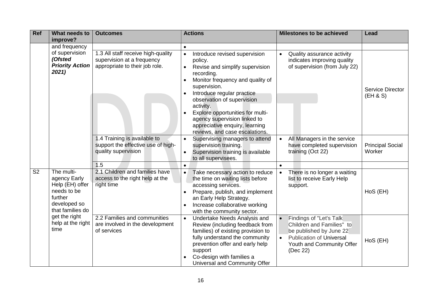| <b>Ref</b>             | What needs to                                                                                                                                             | <b>Outcomes</b>                                                                                    | <b>Actions</b>                                                                                                                                                                                                                                                                                                                                                                           | <b>Milestones to be achieved</b>                                                                                                                                                                                                                                 | <b>Lead</b>                                                                                                                                                              |
|------------------------|-----------------------------------------------------------------------------------------------------------------------------------------------------------|----------------------------------------------------------------------------------------------------|------------------------------------------------------------------------------------------------------------------------------------------------------------------------------------------------------------------------------------------------------------------------------------------------------------------------------------------------------------------------------------------|------------------------------------------------------------------------------------------------------------------------------------------------------------------------------------------------------------------------------------------------------------------|--------------------------------------------------------------------------------------------------------------------------------------------------------------------------|
|                        | improve?<br>and frequency                                                                                                                                 |                                                                                                    |                                                                                                                                                                                                                                                                                                                                                                                          |                                                                                                                                                                                                                                                                  |                                                                                                                                                                          |
|                        | of supervision<br>(Ofsted<br><b>Priority Action</b><br>2021)                                                                                              | 1.3 All staff receive high-quality<br>supervision at a frequency<br>appropriate to their job role. | Introduce revised supervision<br>$\bullet$<br>policy.<br>Revise and simplify supervision<br>$\bullet$<br>recording.<br>Monitor frequency and quality of<br>supervision.<br>Introduce regular practice<br>observation of supervision<br>activity.<br>Explore opportunities for multi-<br>agency supervision linked to<br>appreciative enquiry, learning<br>reviews, and case escalations. | Quality assurance activity<br>indicates improving quality<br>of supervision (from July 22)                                                                                                                                                                       | Service Director<br>(EH & S)                                                                                                                                             |
|                        |                                                                                                                                                           | 1.4 Training is available to<br>support the effective use of high-<br>quality supervision          | Supervising managers to attend<br>$\bullet$<br>supervision training.<br>Supervision training is available<br>$\bullet$<br>to all supervisees.                                                                                                                                                                                                                                            | All Managers in the service<br>have completed supervision<br>training (Oct 22)                                                                                                                                                                                   | <b>Principal Social</b><br>Worker                                                                                                                                        |
|                        |                                                                                                                                                           | 1.5                                                                                                | $\bullet$                                                                                                                                                                                                                                                                                                                                                                                |                                                                                                                                                                                                                                                                  |                                                                                                                                                                          |
| $\overline{\text{S2}}$ | The multi-<br>agency Early<br>Help (EH) offer<br>needs to be<br>further<br>developed so<br>that families do<br>get the right<br>help at the right<br>time | 2.1 Children and families have<br>access to the right help at the<br>right time                    | Take necessary action to reduce<br>$\bullet$<br>the time on waiting lists before<br>accessing services.<br>Prepare, publish, and implement<br>an Early Help Strategy.<br>Increase collaborative working<br>$\bullet$<br>with the community sector.                                                                                                                                       | There is no longer a waiting<br>list to receive Early Help<br>support.                                                                                                                                                                                           | HoS (EH)                                                                                                                                                                 |
|                        |                                                                                                                                                           |                                                                                                    | 2.2 Families and communities<br>are involved in the development<br>of services                                                                                                                                                                                                                                                                                                           | Undertake Needs Analysis and<br>$\bullet$<br>Review (including feedback from<br>families) of existing provision to<br>fully understand the community<br>prevention offer and early help<br>support<br>Co-design with families a<br>Universal and Community Offer | Findings of "Let's Talk<br>Children and Families" to<br>be published by June 22<br><b>Publication of Universal</b><br>$\bullet$<br>Youth and Community Offer<br>(Dec 22) |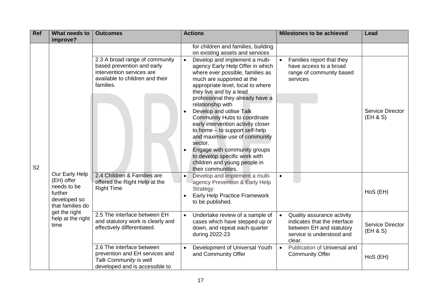| Ref            | What needs to                                                                                                                            | <b>Outcomes</b>                                                                                                                           | <b>Actions</b>                                                                                                                                                                                                                                                                                                                                                                                                                                                                                                                                                                                             | <b>Milestones to be achieved</b>                                                                                                           | Lead                         |
|----------------|------------------------------------------------------------------------------------------------------------------------------------------|-------------------------------------------------------------------------------------------------------------------------------------------|------------------------------------------------------------------------------------------------------------------------------------------------------------------------------------------------------------------------------------------------------------------------------------------------------------------------------------------------------------------------------------------------------------------------------------------------------------------------------------------------------------------------------------------------------------------------------------------------------------|--------------------------------------------------------------------------------------------------------------------------------------------|------------------------------|
|                | improve?                                                                                                                                 |                                                                                                                                           | for children and families, building                                                                                                                                                                                                                                                                                                                                                                                                                                                                                                                                                                        |                                                                                                                                            |                              |
|                |                                                                                                                                          |                                                                                                                                           | on existing assets and services                                                                                                                                                                                                                                                                                                                                                                                                                                                                                                                                                                            |                                                                                                                                            |                              |
| S <sub>2</sub> | Our Early Help<br>(EH) offer<br>needs to be<br>further<br>developed so<br>that families do<br>get the right<br>help at the right<br>time | 2.3 A broad range of community<br>based prevention and early<br>intervention services are<br>available to children and their<br>families. | Develop and implement a multi-<br>$\bullet$<br>agency Early Help Offer in which<br>where ever possible, families as<br>much are supported at the<br>appropriate level, local to where<br>they live and by a lead<br>professional they already have a<br>relationship with<br>Develop and utilise Talk<br>$\bullet$<br>Community Hubs to coordinate<br>early intervention activity closer<br>to home - to support self-help<br>and maximise use of community<br>sector.<br>Engage with community groups<br>$\bullet$<br>to develop specific work with<br>children and young people in<br>their communities. | Families report that they<br>have access to a broad<br>range of community based<br>services                                                | Service Director<br>(EH & S) |
|                |                                                                                                                                          | 2.4 Children & Families are<br>offered the Right Help at the<br><b>Right Time</b>                                                         | Develop and implement a multi-<br>$\bullet$<br>agency Prevention & Early Help<br>Strategy<br>Early Help Practice Framework<br>to be published.                                                                                                                                                                                                                                                                                                                                                                                                                                                             | $\bullet$                                                                                                                                  | HoS (EH)                     |
|                |                                                                                                                                          | 2.5 The interface between EH<br>and statutory work is clearly and<br>effectively differentiated.                                          | Undertake review of a sample of<br>$\bullet$<br>cases which have stepped up or<br>down, and repeat each quarter<br>during 2022-23                                                                                                                                                                                                                                                                                                                                                                                                                                                                          | Quality assurance activity<br>$\bullet$<br>indicates that the interface<br>between EH and statutory<br>service is understood and<br>clear. | Service Director<br>(EH & S) |
|                |                                                                                                                                          | 2.6 The interface between<br>prevention and EH services and<br>Talk Community is well<br>developed and is accessible to                   | Development of Universal Youth<br>and Community Offer                                                                                                                                                                                                                                                                                                                                                                                                                                                                                                                                                      | Publication of Universal and<br>$\bullet$<br><b>Community Offer</b>                                                                        | HoS (EH)                     |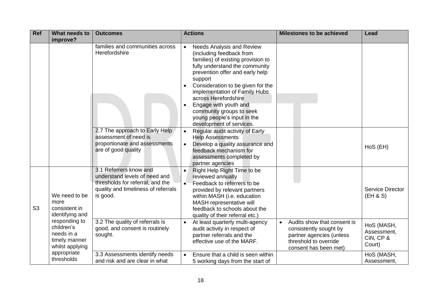| <b>Ref</b>     | What needs to<br>improve?                                                     | <b>Outcomes</b>                                                                                                                                | <b>Actions</b>                                                                                                                                                                                                                                                                                                                                                                                                             | <b>Milestones to be achieved</b>                                                                                                    | Lead                                             |
|----------------|-------------------------------------------------------------------------------|------------------------------------------------------------------------------------------------------------------------------------------------|----------------------------------------------------------------------------------------------------------------------------------------------------------------------------------------------------------------------------------------------------------------------------------------------------------------------------------------------------------------------------------------------------------------------------|-------------------------------------------------------------------------------------------------------------------------------------|--------------------------------------------------|
|                |                                                                               | families and communities across<br>Herefordshire                                                                                               | <b>Needs Analysis and Review</b><br>$\bullet$<br>(including feedback from<br>families) of existing provision to<br>fully understand the community<br>prevention offer and early help<br>support<br>Consideration to be given for the<br>implementation of Family Hubs<br>across Herefordshire<br>Engage with youth and<br>$\bullet$<br>community groups to seek<br>young people's input in the<br>development of services. |                                                                                                                                     |                                                  |
|                |                                                                               | 2.7 The approach to Early Help<br>assessment of need is<br>proportionate and assessments<br>are of good quality                                | Regular audit activity of Early<br>$\bullet$<br><b>Help Assessments</b><br>Develop a quality assurance and<br>$\bullet$<br>feedback mechanism for<br>assessments completed by<br>partner agencies                                                                                                                                                                                                                          |                                                                                                                                     | HoS (EH)                                         |
| S <sub>3</sub> | We need to be<br>more<br>consistent in<br>identifying and                     | 3.1 Referrers know and<br>understand levels of need and<br>thresholds for referral, and the<br>quality and timeliness of referrals<br>is good. | Right Help Right Time to be<br>$\bullet$<br>reviewed annually<br>$\bullet$<br>Feedback to referrers to be<br>provided by relevant partners<br>within MASH (i.e. education<br>MASH representative will<br>feedback to schools about the<br>quality of their referral etc.)                                                                                                                                                  |                                                                                                                                     | <b>Service Director</b><br>(EH & S)              |
|                | responding to<br>children's<br>needs in a<br>timely manner<br>whilst applying | 3.2 The quality of referrals is<br>good, and consent is routinely<br>sought.                                                                   | At least quarterly multi-agency<br>$\bullet$<br>audit activity in respect of<br>partner referrals and the<br>effective use of the MARF.                                                                                                                                                                                                                                                                                    | Audits show that consent is<br>consistently sought by<br>partner agencies (unless<br>threshold to override<br>consent has been met) | HoS (MASH,<br>Assessment,<br>CiN, CP &<br>Court) |
|                | appropriate<br>thresholds                                                     | 3.3 Assessments identify needs<br>and risk and are clear in what                                                                               | Ensure that a child is seen within<br>5 working days from the start of                                                                                                                                                                                                                                                                                                                                                     |                                                                                                                                     | HoS (MASH,<br>Assessment,                        |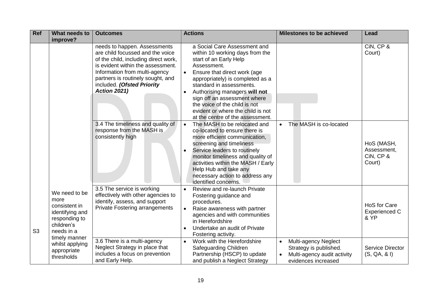| <b>Ref</b>     | What needs to                                                                                          | <b>Outcomes</b>                                                                                                                                                                                                                                                          | <b>Actions</b>                                                                                                                                                                                                                                                                                                                                                                                                | <b>Milestones to be achieved</b>                                                                     | Lead                                                |
|----------------|--------------------------------------------------------------------------------------------------------|--------------------------------------------------------------------------------------------------------------------------------------------------------------------------------------------------------------------------------------------------------------------------|---------------------------------------------------------------------------------------------------------------------------------------------------------------------------------------------------------------------------------------------------------------------------------------------------------------------------------------------------------------------------------------------------------------|------------------------------------------------------------------------------------------------------|-----------------------------------------------------|
|                | improve?                                                                                               | needs to happen. Assessments<br>are child focussed and the voice<br>of the child, including direct work,<br>is evident within the assessment.<br>Information from multi-agency<br>partners is routinely sought, and<br>included. (Ofsted Priority<br><b>Action 2021)</b> | a Social Care Assessment and<br>within 10 working days from the<br>start of an Early Help<br>Assessment.<br>Ensure that direct work (age<br>$\bullet$<br>appropriately) is completed as a<br>standard in assessments.<br>Authorising managers will not<br>$\bullet$<br>sign off an assessment where<br>the voice of the child is not<br>evident or where the child is not<br>at the centre of the assessment. |                                                                                                      | CiN, CP &<br>Court)                                 |
|                |                                                                                                        | 3.4 The timeliness and quality of<br>response from the MASH is<br>consistently high                                                                                                                                                                                      | The MASH to be relocated and<br>$\bullet$<br>co-located to ensure there is<br>more efficient communication,<br>screening and timeliness<br>Service leaders to routinely<br>$\bullet$<br>monitor timeliness and quality of<br>activities within the MASH / Early<br>Help Hub and take any<br>necessary action to address any<br>identified concerns.                                                           | The MASH is co-located<br>$\bullet$                                                                  | HoS (MASH,<br>Assessment,<br>CiN, CP &<br>Court)    |
| S <sub>3</sub> | We need to be<br>more<br>consistent in<br>identifying and<br>responding to<br>children's<br>needs in a | 3.5 The service is working<br>effectively with other agencies to<br>identify, assess, and support<br><b>Private Fostering arrangements</b>                                                                                                                               | Review and re-launch Private<br>$\bullet$<br>Fostering guidance and<br>procedures.<br>Raise awareness with partner<br>$\bullet$<br>agencies and with communities<br>in Herefordshire<br>Undertake an audit of Private<br>$\bullet$<br>Fostering activity.                                                                                                                                                     |                                                                                                      | <b>HoS</b> for Care<br><b>Experienced C</b><br>& YP |
|                | timely manner<br>whilst applying<br>appropriate<br>thresholds                                          | 3.6 There is a multi-agency<br>Neglect Strategy in place that<br>includes a focus on prevention<br>and Early Help.                                                                                                                                                       | Work with the Herefordshire<br>$\bullet$<br>Safeguarding Children<br>Partnership (HSCP) to update<br>and publish a Neglect Strategy                                                                                                                                                                                                                                                                           | Multi-agency Neglect<br>Strategy is published.<br>Multi-agency audit activity<br>evidences increased | <b>Service Director</b><br>(S, QA, & I)             |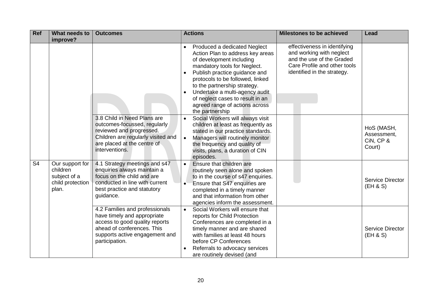| <b>Ref</b>     | What needs to<br>improve?                                                | <b>Outcomes</b>                                                                                                                                                                   | <b>Actions</b>                                                                                                                                                                                                                                                                                                                                                                                      | <b>Milestones to be achieved</b>                                                                                                                     | Lead                                             |
|----------------|--------------------------------------------------------------------------|-----------------------------------------------------------------------------------------------------------------------------------------------------------------------------------|-----------------------------------------------------------------------------------------------------------------------------------------------------------------------------------------------------------------------------------------------------------------------------------------------------------------------------------------------------------------------------------------------------|------------------------------------------------------------------------------------------------------------------------------------------------------|--------------------------------------------------|
|                |                                                                          |                                                                                                                                                                                   | Produced a dedicated Neglect<br>$\bullet$<br>Action Plan to address key areas<br>of development including<br>mandatory tools for Neglect.<br>Publish practice guidance and<br>$\bullet$<br>protocols to be followed, linked<br>to the partnership strategy.<br>Undertake a multi-agency audit<br>$\bullet$<br>of neglect cases to result in an<br>agreed range of actions across<br>the partnership | effectiveness in identifying<br>and working with neglect<br>and the use of the Graded<br>Care Profile and other tools<br>identified in the strategy. |                                                  |
|                |                                                                          | 3.8 Child in Need Plans are<br>outcomes-focussed, regularly<br>reviewed and progressed.<br>Children are regularly visited and<br>are placed at the centre of<br>interventions.    | Social Workers will always visit<br>$\bullet$<br>children at least as frequently as<br>stated in our practice standards.<br>Managers will routinely monitor<br>the frequency and quality of<br>visits, plans, a duration of CIN<br>episodes.                                                                                                                                                        |                                                                                                                                                      | HoS (MASH,<br>Assessment,<br>CiN, CP &<br>Court) |
| S <sub>4</sub> | Our support for<br>children<br>subject of a<br>child protection<br>plan. | 4.1 Strategy meetings and s47<br>enquiries always maintain a<br>focus on the child and are<br>conducted in line with current<br>best practice and statutory<br>guidance.          | Ensure that children are<br>routinely seen alone and spoken<br>to in the course of s47 enquiries.<br>Ensure that S47 enquiries are<br>completed in a timely manner<br>and that information from other<br>agencies inform the assessment.                                                                                                                                                            |                                                                                                                                                      | <b>Service Director</b><br>(EH & S)              |
|                |                                                                          | 4.2 Families and professionals<br>have timely and appropriate<br>access to good quality reports<br>ahead of conferences. This<br>supports active engagement and<br>participation. | Social Workers will ensure that<br>$\bullet$<br>reports for Child Protection<br>Conferences are completed in a<br>timely manner and are shared<br>with families at least 48 hours<br>before CP Conferences<br>Referrals to advocacy services<br>are routinely devised (and                                                                                                                          |                                                                                                                                                      | <b>Service Director</b><br>(EH & S)              |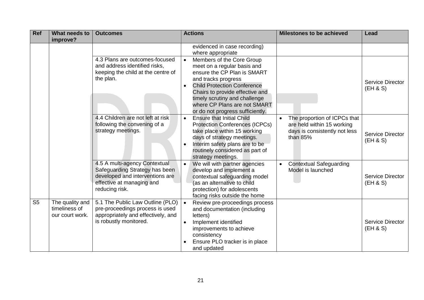| <b>Ref</b>     | What needs to<br>improve?                           | <b>Outcomes</b>                                                                                                                                   | <b>Actions</b>                                                                                                                                                                                                                                                                                                         | <b>Milestones to be achieved</b>                                                                        | Lead                                |
|----------------|-----------------------------------------------------|---------------------------------------------------------------------------------------------------------------------------------------------------|------------------------------------------------------------------------------------------------------------------------------------------------------------------------------------------------------------------------------------------------------------------------------------------------------------------------|---------------------------------------------------------------------------------------------------------|-------------------------------------|
|                |                                                     |                                                                                                                                                   | evidenced in case recording)<br>where appropriate                                                                                                                                                                                                                                                                      |                                                                                                         |                                     |
|                |                                                     | 4.3 Plans are outcomes-focused<br>and address identified risks,<br>keeping the child at the centre of<br>the plan.                                | Members of the Core Group<br>$\bullet$<br>meet on a regular basis and<br>ensure the CP Plan is SMART<br>and tracks progress<br><b>Child Protection Conference</b><br>$\bullet$<br>Chairs to provide effective and<br>timely scrutiny and challenge<br>where CP Plans are not SMART<br>or do not progress sufficiently. |                                                                                                         | Service Director<br>(EH & S)        |
|                |                                                     | 4.4 Children are not left at risk<br>following the convening of a<br>strategy meetings.                                                           | <b>Ensure that Initial Child</b><br>$\bullet$<br><b>Protection Conferences (ICPCs)</b><br>take place within 15 working<br>days of strategy meetings.<br>Interim safety plans are to be<br>$\bullet$<br>routinely considered as part of<br>strategy meetings.                                                           | The proportion of ICPCs that<br>are held within 15 working<br>days is consistently not less<br>than 85% | Service Director<br>(EH & S)        |
|                |                                                     | 4.5 A multi-agency Contextual<br>Safeguarding Strategy has been<br>developed and interventions are<br>effective at managing and<br>reducing risk. | We will with partner agencies<br>$\bullet$<br>develop and implement a<br>contextual safeguarding model<br>(as an alternative to child<br>protection) for adolescents<br>facing risks outside the home                                                                                                                  | <b>Contextual Safeguarding</b><br>Model is launched                                                     | Service Director<br>(EH & S)        |
| S <sub>5</sub> | The quality and<br>timeliness of<br>our court work. | 5.1 The Public Law Outline (PLO)<br>pre-proceedings process is used<br>appropriately and effectively, and<br>is robustly monitored.               | Review pre-proceedings process<br>$\bullet$<br>and documentation (including<br>letters)<br>Implement identified<br>improvements to achieve<br>consistency<br>Ensure PLO tracker is in place<br>and updated                                                                                                             |                                                                                                         | <b>Service Director</b><br>(EH & S) |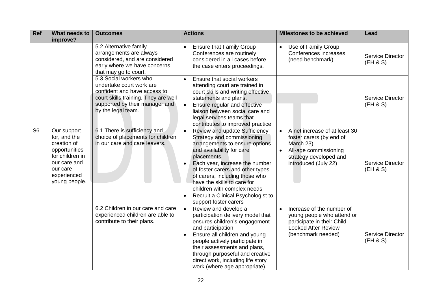| Ref            | What needs to<br>improve?                                                                                                                  | <b>Outcomes</b>                                                                                                                                                                    | <b>Actions</b>                                                                                                                                                                                                                                                                                                                                                                                                               | <b>Milestones to be achieved</b>                                                                                                                   | Lead                                |
|----------------|--------------------------------------------------------------------------------------------------------------------------------------------|------------------------------------------------------------------------------------------------------------------------------------------------------------------------------------|------------------------------------------------------------------------------------------------------------------------------------------------------------------------------------------------------------------------------------------------------------------------------------------------------------------------------------------------------------------------------------------------------------------------------|----------------------------------------------------------------------------------------------------------------------------------------------------|-------------------------------------|
|                |                                                                                                                                            | 5.2 Alternative family<br>arrangements are always<br>considered, and are considered<br>early where we have concerns<br>that may go to court.                                       | <b>Ensure that Family Group</b><br>$\bullet$<br>Conferences are routinely<br>considered in all cases before<br>the case enters proceedings.                                                                                                                                                                                                                                                                                  | Use of Family Group<br>Conferences increases<br>(need benchmark)                                                                                   | <b>Service Director</b><br>(EH & S) |
|                |                                                                                                                                            | 5.3 Social workers who<br>undertake court work are<br>confident and have access to<br>court skills training. They are well<br>supported by their manager and<br>by the legal team. | Ensure that social workers<br>$\bullet$<br>attending court are trained in<br>court skills and writing effective<br>statements and plans.<br>Ensure regular and effective<br>$\bullet$<br>liaison between social care and<br>legal services teams that<br>contributes to improved practice.                                                                                                                                   |                                                                                                                                                    | <b>Service Director</b><br>(EH & S) |
| S <sub>6</sub> | Our support<br>for, and the<br>creation of<br>opportunities<br>for children in<br>our care and<br>our care<br>experienced<br>young people. | 6.1 There is sufficiency and<br>choice of placements for children<br>in our care and care leavers.                                                                                 | <b>Review and update Sufficiency</b><br>$\bullet$<br>Strategy and commissioning<br>arrangements to ensure options<br>and availability for care<br>placements.<br>Each year, increase the number<br>$\bullet$<br>of foster carers and other types<br>of carers, including those who<br>have the skills to care for<br>children with complex needs<br>Recruit a Clinical Psychologist to<br>$\bullet$<br>support foster carers | A net increase of at least 30<br>foster carers (by end of<br>March 23).<br>All-age commissioning<br>strategy developed and<br>introduced (July 22) | <b>Service Director</b><br>(EH & S) |
|                |                                                                                                                                            | 6.2 Children in our care and care<br>experienced children are able to<br>contribute to their plans.                                                                                | Review and develop a<br>$\bullet$<br>participation delivery model that<br>ensures children's engagement<br>and participation<br>Ensure all children and young<br>people actively participate in<br>their assessments and plans,<br>through purposeful and creative<br>direct work, including life story<br>work (where age appropriate).                                                                                     | Increase of the number of<br>young people who attend or<br>participate in their Child<br><b>Looked After Review</b><br>(benchmark needed)          | <b>Service Director</b><br>(EH & S) |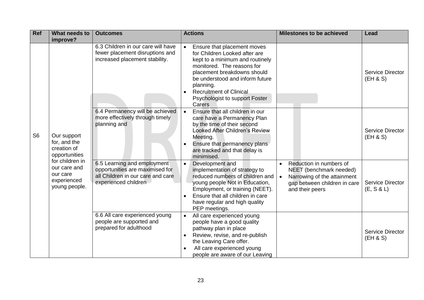| <b>Ref</b>     | What needs to<br>improve?                                                   | <b>Outcomes</b>                                                                                                             | <b>Actions</b>                                                                                                                                                                                                                                                                                                       | <b>Milestones to be achieved</b>                                                                                                                  | Lead                                  |
|----------------|-----------------------------------------------------------------------------|-----------------------------------------------------------------------------------------------------------------------------|----------------------------------------------------------------------------------------------------------------------------------------------------------------------------------------------------------------------------------------------------------------------------------------------------------------------|---------------------------------------------------------------------------------------------------------------------------------------------------|---------------------------------------|
|                |                                                                             | 6.3 Children in our care will have<br>fewer placement disruptions and<br>increased placement stability.                     | Ensure that placement moves<br>$\bullet$<br>for Children Looked after are<br>kept to a minimum and routinely<br>monitored. The reasons for<br>placement breakdowns should<br>be understood and inform future<br>planning.<br><b>Recruitment of Clinical</b><br>$\bullet$<br>Psychologist to support Foster<br>Carers |                                                                                                                                                   | <b>Service Director</b><br>(EH & S)   |
| S <sub>6</sub> | Our support<br>for, and the<br>creation of<br>opportunities                 | 6.4 Permanency will be achieved<br>more effectively through timely<br>planning and                                          | Ensure that all children in our<br>care have a Permanency Plan<br>by the time of their second<br><b>Looked After Children's Review</b><br>Meeting.<br>Ensure that permanency plans<br>are tracked and that delay is<br>minimised.                                                                                    |                                                                                                                                                   | <b>Service Director</b><br>(EH & S)   |
|                | for children in<br>our care and<br>our care<br>experienced<br>young people. | 6.5 Learning and employment<br>opportunities are maximised for<br>all Children in our care and care<br>experienced children | Development and<br>$\bullet$<br>implementation of strategy to<br>reduced numbers of children and<br>young people Not in Education,<br>Employment, or training (NEET).<br>Ensure that all children in care<br>have regular and high quality<br>PEP meetings.                                                          | Reduction in numbers of<br>NEET (benchmark needed)<br>Narrowing of the attainment<br>$\bullet$<br>gap between children in care<br>and their peers | <b>Service Director</b><br>(E, S & L) |
|                |                                                                             | 6.6 All care experienced young<br>people are supported and<br>prepared for adulthood                                        | All care experienced young<br>$\bullet$<br>people have a good quality<br>pathway plan in place<br>Review, revise, and re-publish<br>$\bullet$<br>the Leaving Care offer.<br>All care experienced young<br>people are aware of our Leaving                                                                            |                                                                                                                                                   | <b>Service Director</b><br>(EH & S)   |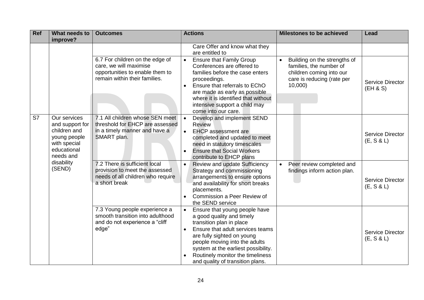| <b>Ref</b> | What needs to                                                                                               | <b>Outcomes</b>                                                                                                               | <b>Actions</b>                                                                                                                                                                                                                                                                                                                     | <b>Milestones to be achieved</b>                                                                                                         | Lead                           |
|------------|-------------------------------------------------------------------------------------------------------------|-------------------------------------------------------------------------------------------------------------------------------|------------------------------------------------------------------------------------------------------------------------------------------------------------------------------------------------------------------------------------------------------------------------------------------------------------------------------------|------------------------------------------------------------------------------------------------------------------------------------------|--------------------------------|
|            | improve?                                                                                                    |                                                                                                                               | Care Offer and know what they<br>are entitled to                                                                                                                                                                                                                                                                                   |                                                                                                                                          |                                |
|            |                                                                                                             | 6.7 For children on the edge of<br>care, we will maximise<br>opportunities to enable them to<br>remain within their families. | <b>Ensure that Family Group</b><br>$\bullet$<br>Conferences are offered to<br>families before the case enters<br>proceedings.<br>Ensure that referrals to EChO<br>are made as early as possible<br>where it is identified that without<br>intensive support a child may<br>come into our care.                                     | Building on the strengths of<br>$\bullet$<br>families, the number of<br>children coming into our<br>care is reducing (rate per<br>10,000 | Service Director<br>(EH & S)   |
| S7         | Our services<br>and support for<br>children and<br>young people<br>with special<br>educational<br>needs and | 7.1 All children whose SEN meet<br>threshold for EHCP are assessed<br>in a timely manner and have a<br>SMART plan.            | Develop and implement SEND<br><b>Review</b><br><b>EHCP</b> assessment are<br>$\bullet$<br>completed and updated to meet<br>need in statutory timescales<br><b>Ensure that Social Workers</b><br>contribute to EHCP plans                                                                                                           |                                                                                                                                          | Service Director<br>(E, S & L) |
|            | disability<br>(SEND)                                                                                        | 7.2 There is sufficient local<br>provision to meet the assessed<br>needs of all children who require<br>a short break         | <b>Review and update Sufficiency</b><br>Strategy and commissioning<br>arrangements to ensure options<br>and availability for short breaks<br>placements.<br>Commission a Peer Review of<br>the SEND service                                                                                                                        | Peer review completed and<br>$\bullet$<br>findings inform action plan.                                                                   | Service Director<br>(E, S & L) |
|            |                                                                                                             | 7.3 Young people experience a<br>smooth transition into adulthood<br>and do not experience a "cliff<br>edge"                  | Ensure that young people have<br>$\bullet$<br>a good quality and timely<br>transition plan in place<br>Ensure that adult services teams<br>$\bullet$<br>are fully sighted on young<br>people moving into the adults<br>system at the earliest possibility.<br>Routinely monitor the timeliness<br>and quality of transition plans. |                                                                                                                                          | Service Director<br>(E, S & L) |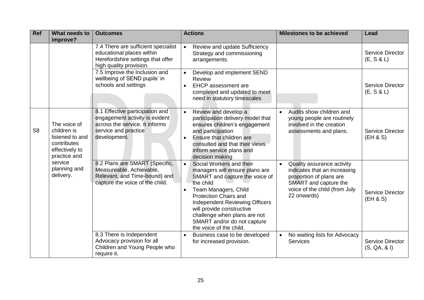| <b>Ref</b>     | What needs to<br>improve?                                                                       | <b>Outcomes</b>                                                                                                                             | <b>Actions</b>                                                                                                                                                                                                                                                                                                                                              | <b>Milestones to be achieved</b>                                                                                                                               | Lead                                    |
|----------------|-------------------------------------------------------------------------------------------------|---------------------------------------------------------------------------------------------------------------------------------------------|-------------------------------------------------------------------------------------------------------------------------------------------------------------------------------------------------------------------------------------------------------------------------------------------------------------------------------------------------------------|----------------------------------------------------------------------------------------------------------------------------------------------------------------|-----------------------------------------|
|                |                                                                                                 | 7.4 There are sufficient specialist<br>educational places within<br>Herefordshire settings that offer<br>high quality provision.            | Review and update Sufficiency<br>$\bullet$<br>Strategy and commissioning<br>arrangements.                                                                                                                                                                                                                                                                   |                                                                                                                                                                | <b>Service Director</b><br>(E, S & L)   |
|                |                                                                                                 | 7.5 Improve the Inclusion and<br>wellbeing of SEND pupils' in<br>schools and settings                                                       | Develop and implement SEND<br>$\bullet$<br>Review<br><b>EHCP</b> assessment are<br>$\bullet$<br>completed and updated to meet<br>need in statutory timescales                                                                                                                                                                                               |                                                                                                                                                                | <b>Service Director</b><br>(E, S & L)   |
| S <sub>8</sub> | The voice of<br>children is<br>listened to and<br>contributes<br>effectively to<br>practice and | 8.1 Effective participation and<br>engagement activity is evident<br>across the service. It informs<br>service and practice<br>development. | Review and develop a<br>$\bullet$<br>participation delivery model that<br>ensures children's engagement<br>and participation<br>Ensure that children are<br>$\bullet$<br>consulted and that their views<br>inform service plans and<br>decision making                                                                                                      | Audits show children and<br>young people are routinely<br>involved in the creation<br>assessments and plans.                                                   | <b>Service Director</b><br>(EH & S)     |
|                | service<br>planning and<br>delivery.                                                            | 8.2 Plans are SMART (Specific,<br>Measureable, Achievable,<br>Relevant, and Time-bound) and<br>capture the voice of the child.              | Social Workers and their<br>$\bullet$<br>managers will ensure plans are<br>SMART and capture the voice of<br>the child<br>Team Managers, Child<br>$\bullet$<br><b>Protection Chairs and</b><br><b>Independent Reviewing Officers</b><br>will provide constructive<br>challenge when plans are not<br>SMART and/or do not capture<br>the voice of the child. | Quality assurance activity<br>indicates that an increasing<br>proportion of plans are<br>SMART and capture the<br>voice of the child (from July<br>22 onwards) | <b>Service Director</b><br>(EH & S)     |
|                |                                                                                                 | 8.3 There is Independent<br>Advocacy provision for all<br>Children and Young People who<br>require it.                                      | Business case to be developed<br>$\bullet$<br>for increased provision.                                                                                                                                                                                                                                                                                      | No waiting lists for Advocacy<br>Services                                                                                                                      | <b>Service Director</b><br>(S, QA, & I) |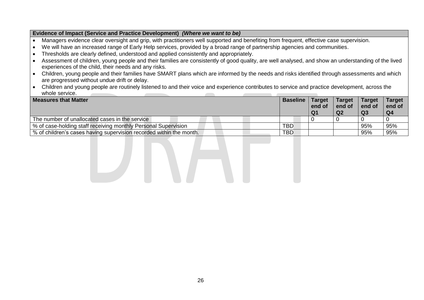#### **Evidence of Impact (Service and Practice Development)** *(Where we want to be)*

- Managers evidence clear oversight and grip, with practitioners well supported and benefiting from frequent, effective case supervision.
- We will have an increased range of Early Help services, provided by a broad range of partnership agencies and communities.
- Thresholds are clearly defined, understood and applied consistently and appropriately.
- Assessment of children, young people and their families are consistently of good quality, are well analysed, and show an understanding of the lived experiences of the child, their needs and any risks.
- Children, young people and their families have SMART plans which are informed by the needs and risks identified through assessments and which are progressed without undue drift or delay.
- Children and young people are routinely listened to and their voice and experience contributes to service and practice development, across the whole service.

| <b>Measures that Matter</b>                                         | <b>Baseline</b> | <b>Target</b><br>end of<br>Q1 | <b>Target</b><br>end of<br>Q <sub>2</sub> | <b>Target</b><br>end of<br>Q3 | <b>Target</b><br>end of<br>Q4 |
|---------------------------------------------------------------------|-----------------|-------------------------------|-------------------------------------------|-------------------------------|-------------------------------|
| The number of unallocated cases in the service                      |                 |                               |                                           |                               |                               |
| % of case-holding staff receiving monthly Personal Supervision      | <b>TBD</b>      |                               |                                           | 95%                           | 95%                           |
| % of children's cases having supervision recorded within the month. | <b>TBD</b>      |                               |                                           | 95%                           | 95%                           |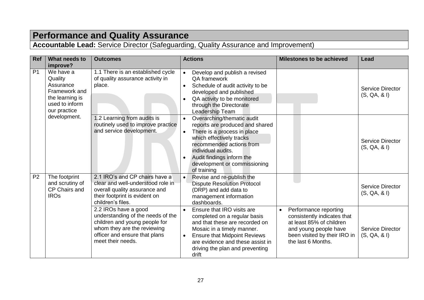## **Performance and Quality Assurance**

**Accountable Lead:** Service Director (Safeguarding, Quality Assurance and Improvement)

| Ref            | What needs to<br>improve?                                                                               | <b>Outcomes</b>                                                                                                                                                                 | <b>Actions</b>                                                                                                                                                                                                                                                                                | <b>Milestones to be achieved</b>                                                                                                                                             | Lead                                    |
|----------------|---------------------------------------------------------------------------------------------------------|---------------------------------------------------------------------------------------------------------------------------------------------------------------------------------|-----------------------------------------------------------------------------------------------------------------------------------------------------------------------------------------------------------------------------------------------------------------------------------------------|------------------------------------------------------------------------------------------------------------------------------------------------------------------------------|-----------------------------------------|
| P <sub>1</sub> | We have a<br>Quality<br>Assurance<br>Framework and<br>the learning is<br>used to inform<br>our practice | 1.1 There is an established cycle<br>of quality assurance activity in<br>place.                                                                                                 | Develop and publish a revised<br>$\bullet$<br>QA framework<br>Schedule of audit activity to be<br>$\bullet$<br>developed and published<br>QA activity to be monitored<br>$\bullet$<br>through the Directorate<br>Leadership Team                                                              |                                                                                                                                                                              | Service Director<br>(S, QA, & I)        |
|                | development.                                                                                            | 1.2 Learning from audits is<br>routinely used to improve practice<br>and service development.                                                                                   | Overarching/thematic audit<br>$\bullet$<br>reports are produced and shared<br>There is a process in place<br>$\bullet$<br>which effectively tracks<br>recommended actions from<br>individual audits.<br>Audit findings inform the<br>$\bullet$<br>development or commissioning<br>of training |                                                                                                                                                                              | <b>Service Director</b><br>(S, QA, & I) |
| P <sub>2</sub> | The footprint<br>and scrutiny of<br>CP Chairs and<br><b>IROs</b>                                        | 2.1 IRO's and CP chairs have a<br>clear and well-understood role in<br>overall quality assurance and<br>their footprint is evident on<br>children's files.                      | Revise and re-publish the<br>$\bullet$<br><b>Dispute Resolution Protocol</b><br>(DRP) and add data to<br>management information<br>dashboards.                                                                                                                                                |                                                                                                                                                                              | <b>Service Director</b><br>(S, QA, & I) |
|                |                                                                                                         | 2.2 IROs have a good<br>understanding of the needs of the<br>children and young people for<br>whom they are the reviewing<br>officer and ensure that plans<br>meet their needs. | Ensure that IRO visits are<br>$\bullet$<br>completed on a regular basis<br>and that these are recorded on<br>Mosaic in a timely manner.<br><b>Ensure that Midpoint Reviews</b><br>$\bullet$<br>are evidence and these assist in<br>driving the plan and preventing<br>drift                   | Performance reporting<br>$\bullet$<br>consistently indicates that<br>at least 85% of children<br>and young people have<br>been visited by their IRO in<br>the last 6 Months. | Service Director<br>(S, QA, & I)        |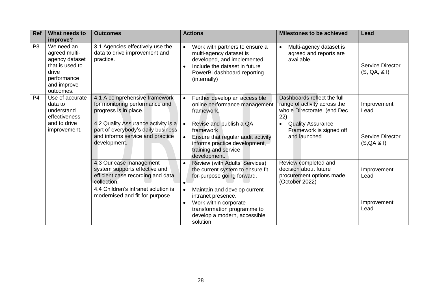| <b>Ref</b>     | What needs to<br>improve?                                                                                            | <b>Outcomes</b>                                                                                                               | <b>Actions</b>                                                                                                                                                                                     | <b>Milestones to be achieved</b>                                                                  | Lead                                    |
|----------------|----------------------------------------------------------------------------------------------------------------------|-------------------------------------------------------------------------------------------------------------------------------|----------------------------------------------------------------------------------------------------------------------------------------------------------------------------------------------------|---------------------------------------------------------------------------------------------------|-----------------------------------------|
| P <sub>3</sub> | We need an<br>agreed multi-<br>agency dataset<br>that is used to<br>drive<br>performance<br>and improve<br>outcomes. | 3.1 Agencies effectively use the<br>data to drive improvement and<br>practice.                                                | Work with partners to ensure a<br>$\bullet$<br>multi-agency dataset is<br>developed, and implemented.<br>Include the dataset in future<br>$\bullet$<br>PowerBi dashboard reporting<br>(internally) | Multi-agency dataset is<br>agreed and reports are<br>available.                                   | <b>Service Director</b><br>(S, QA, & I) |
| P <sub>4</sub> | Use of accurate<br>data to<br>understand<br>effectiveness                                                            | 4.1 A comprehensive framework<br>for monitoring performance and<br>progress is in place.                                      | Further develop an accessible<br>$\bullet$<br>online performance management<br>framework.                                                                                                          | Dashboards reflect the full<br>range of activity across the<br>whole Directorate. (end Dec<br>22) | Improvement<br>Lead                     |
|                | and to drive<br>improvement.                                                                                         | 4.2 Quality Assurance activity is a<br>part of everybody's daily business<br>and informs service and practice<br>development. | Revise and publish a QA<br>$\bullet$<br>framework<br>Ensure that regular audit activity<br>$\bullet$<br>informs practice development,<br>training and service<br>development.                      | <b>Quality Assurance</b><br>$\bullet$<br>Framework is signed off<br>and launched                  | <b>Service Director</b><br>(S, QA & I)  |
|                |                                                                                                                      | 4.3 Our case management<br>system supports effective and<br>efficient case recording and data<br>collection.                  | Review (with Adults' Services)<br>$\bullet$<br>the current system to ensure fit-<br>for-purpose going forward.<br>$\bullet$                                                                        | Review completed and<br>decision about future<br>procurement options made.<br>(October 2022)      | Improvement<br>Lead                     |
|                |                                                                                                                      | 4.4 Children's intranet solution is<br>modernised and fit-for-purpose                                                         | Maintain and develop current<br>$\bullet$<br>intranet presence.<br>Work within corporate<br>$\bullet$<br>transformation programme to<br>develop a modern, accessible<br>solution.                  |                                                                                                   | Improvement<br>Lead                     |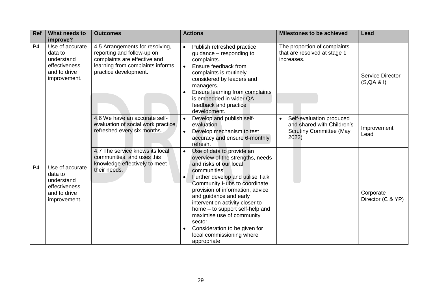| Ref            | What needs to<br>improve?                                                                 | <b>Outcomes</b>                                                                                                                                            | <b>Actions</b>                                                                                                                                                                                                                                                                                                                                                                                                                                                            | <b>Milestones to be achieved</b>                                                                  | Lead                                   |
|----------------|-------------------------------------------------------------------------------------------|------------------------------------------------------------------------------------------------------------------------------------------------------------|---------------------------------------------------------------------------------------------------------------------------------------------------------------------------------------------------------------------------------------------------------------------------------------------------------------------------------------------------------------------------------------------------------------------------------------------------------------------------|---------------------------------------------------------------------------------------------------|----------------------------------------|
| P <sub>4</sub> | Use of accurate<br>data to<br>understand<br>effectiveness<br>and to drive<br>improvement. | 4.5 Arrangements for resolving,<br>reporting and follow-up on<br>complaints are effective and<br>learning from complaints informs<br>practice development. | Publish refreshed practice<br>$\bullet$<br>guidance – responding to<br>complaints.<br>Ensure feedback from<br>$\bullet$<br>complaints is routinely<br>considered by leaders and<br>managers.<br>Ensure learning from complaints<br>is embedded in wider QA<br>feedback and practice<br>development.                                                                                                                                                                       | The proportion of complaints<br>that are resolved at stage 1<br>increases.                        | <b>Service Director</b><br>(S, QA & I) |
|                |                                                                                           | 4.6 We have an accurate self-<br>evaluation of social work practice,<br>refreshed every six months.                                                        | Develop and publish self-<br>evaluation<br>Develop mechanism to test<br>$\bullet$<br>accuracy and ensure 6-monthly<br>refresh.                                                                                                                                                                                                                                                                                                                                            | Self-evaluation produced<br>and shared with Children's<br><b>Scrutiny Committee (May</b><br>2022) | Improvement<br>Lead                    |
| P <sub>4</sub> | Use of accurate<br>data to<br>understand<br>effectiveness<br>and to drive<br>improvement. | 4.7 The service knows its local<br>communities, and uses this<br>knowledge effectively to meet<br>their needs.                                             | Use of data to provide an<br>$\bullet$<br>overview of the strengths, needs<br>and risks of our local<br>communities<br>Further develop and utilise Talk<br>$\bullet$<br>Community Hubs to coordinate<br>provision of information, advice<br>and guidance and early<br>intervention activity closer to<br>home - to support self-help and<br>maximise use of community<br>sector<br>Consideration to be given for<br>$\bullet$<br>local commissioning where<br>appropriate |                                                                                                   | Corporate<br>Director (C & YP)         |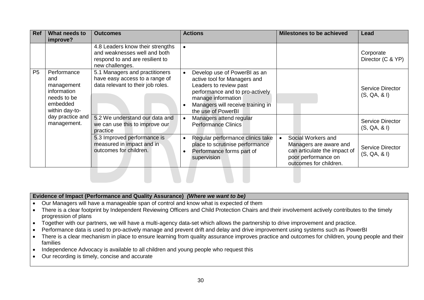| Ref       | What needs to<br>improve?                                                                    | <b>Outcomes</b>                                                                                                        | <b>Actions</b>                                                                                                                                                                                             | <b>Milestones to be achieved</b>                                                                                              | Lead                                    |
|-----------|----------------------------------------------------------------------------------------------|------------------------------------------------------------------------------------------------------------------------|------------------------------------------------------------------------------------------------------------------------------------------------------------------------------------------------------------|-------------------------------------------------------------------------------------------------------------------------------|-----------------------------------------|
|           |                                                                                              | 4.8 Leaders know their strengths<br>and weaknesses well and both<br>respond to and are resilient to<br>new challenges. | $\bullet$                                                                                                                                                                                                  |                                                                                                                               | Corporate<br>Director (C & YP)          |
| <b>P5</b> | Performance<br>and<br>management<br>information<br>needs to be<br>embedded<br>within day-to- | 5.1 Managers and practitioners<br>have easy access to a range of<br>data relevant to their job roles.                  | Develop use of PowerBI as an<br>active tool for Managers and<br>Leaders to review past<br>performance and to pro-actively<br>manage information<br>Managers will receive training in<br>the use of PowerBI |                                                                                                                               | <b>Service Director</b><br>(S, QA, & I) |
|           | day practice and<br>management.                                                              | 5.2 We understand our data and<br>we can use this to improve our<br>practice                                           | Managers attend regular<br>$\bullet$<br><b>Performance Clinics</b>                                                                                                                                         |                                                                                                                               | <b>Service Director</b><br>(S, QA, & I) |
|           |                                                                                              | 5.3 Improved performance is<br>measured in impact and in<br>outcomes for children.                                     | Regular performance clinics take<br>$\bullet$<br>place to scrutinise performance<br>Performance forms part of<br>supervision                                                                               | Social Workers and<br>Managers are aware and<br>can articulate the impact of<br>poor performance on<br>outcomes for children. | <b>Service Director</b><br>(S, QA, & I) |

#### **Evidence of Impact (Performance and Quality Assurance)** *(Where we want to be)*

- Our Managers will have a manageable span of control and know what is expected of them
- There is a clear footprint by Independent Reviewing Officers and Child Protection Chairs and their involvement actively contributes to the timely progression of plans
- Together with our partners, we will have a multi-agency data-set which allows the partnership to drive improvement and practice.
- Performance data is used to pro-actively manage and prevent drift and delay and drive improvement using systems such as PowerBI
- There is a clear mechanism in place to ensure learning from quality assurance improves practice and outcomes for children, young people and their families
- Independence Advocacy is available to all children and young people who request this
- Our recording is timely, concise and accurate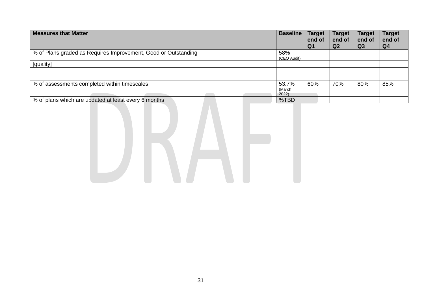| <b>Measures that Matter</b>                                      | <b>Baseline</b>          | <b>Target</b><br>end of<br>Q <sub>1</sub> | <b>Target</b><br>end of<br>Q2 | <b>Target</b><br>end of<br>Q <sub>3</sub> | <b>Target</b><br>end of<br>Q <sub>4</sub> |
|------------------------------------------------------------------|--------------------------|-------------------------------------------|-------------------------------|-------------------------------------------|-------------------------------------------|
| │ % of Plans graded as Requires Improvement, Good or Outstanding | 58%<br>(CEO Audit)       |                                           |                               |                                           |                                           |
| [quality]                                                        |                          |                                           |                               |                                           |                                           |
|                                                                  |                          |                                           |                               |                                           |                                           |
|                                                                  |                          |                                           |                               |                                           |                                           |
| % of assessments completed within timescales                     | 53.7%<br>(March<br>2022) | 60%                                       | 70%                           | 80%                                       | 85%                                       |
| \% of plans which are updated at least every 6 months            | %TBD                     |                                           |                               |                                           |                                           |

DRAFI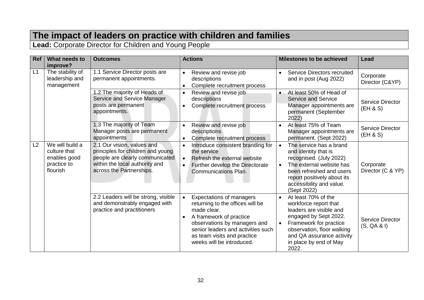## **The impact of leaders on practice with children and families**

**Lead:** Corporate Director for Children and Young People

| <b>Ref</b>     | What needs to<br>improve?                                                  | <b>Outcomes</b>                                                                                                                                                  | <b>Actions</b>                                                                                                                                                                                                                                                            | <b>Milestones to be achieved</b>                                                                                                                                                                                                      | <b>Lead</b>                            |
|----------------|----------------------------------------------------------------------------|------------------------------------------------------------------------------------------------------------------------------------------------------------------|---------------------------------------------------------------------------------------------------------------------------------------------------------------------------------------------------------------------------------------------------------------------------|---------------------------------------------------------------------------------------------------------------------------------------------------------------------------------------------------------------------------------------|----------------------------------------|
| L1             | The stability of<br>leadership and<br>management                           | 1.1 Service Director posts are<br>permanent appointments.                                                                                                        | Review and revise job<br>$\bullet$<br>descriptions<br>Complete recruitment process<br>$\bullet$                                                                                                                                                                           | <b>Service Directors recruited</b><br>$\bullet$<br>and in post (Aug 2022)                                                                                                                                                             | Corporate<br>Director (C&YP)           |
|                |                                                                            | 1.2 The majority of Heads of<br>Service and Service Manager<br>posts are permanent<br>appointments.                                                              | Review and revise job<br>$\bullet$<br>descriptions<br>Complete recruitment process<br>$\bullet$                                                                                                                                                                           | At least 50% of Head of<br>$\bullet$<br><b>Service and Service</b><br>Manager appointments are<br>permanent (September<br>2022)                                                                                                       | <b>Service Director</b><br>(EH & S)    |
|                |                                                                            | 1.3 The majority of Team<br>Manager posts are permanent<br>appointments                                                                                          | Review and revise job<br>$\bullet$<br>descriptions<br>Complete recruitment process<br>$\bullet$                                                                                                                                                                           | At least 75% of Team<br>Manager appointments are<br>permanent. (Sept 2022)                                                                                                                                                            | <b>Service Director</b><br>(EH & S)    |
| L <sub>2</sub> | We will build a<br>culture that<br>enables good<br>practice to<br>flourish | 2.1 Our vision, values and<br>principles for children and young<br>people are clearly communicated<br>within the local authority and<br>across the Partnerships. | Introduce consistent branding for<br>$\bullet$<br>the service<br>Refresh the external website<br>$\bullet$<br>Further develop the Directorate<br>$\bullet$<br><b>Communications Plan.</b>                                                                                 | The service has a brand<br>$\bullet$<br>and identity that is<br>recognised. (July 2022)<br>The external website has<br>been refreshed and users<br>report positively about its<br>accessibility and value.<br>(Sept 2022)             | Corporate<br>Director (C & YP)         |
|                |                                                                            | 2.2 Leaders will be strong, visible<br>and demonstrably engaged with<br>practice and practitioners                                                               | <b>Expectations of managers</b><br>$\bullet$<br>returning to the offices will be<br>made clear.<br>A framework of practice<br>$\bullet$<br>observations by managers and<br>senior leaders and activities such<br>as team visits and practice<br>weeks will be introduced. | At least 70% of the<br>$\bullet$<br>workforce report that<br>leaders are visible and<br>engaged by Sept 2022.<br>Framework for practice<br>observation, floor walking<br>and QA assurance activity<br>in place by end of May<br>2022. | <b>Service Director</b><br>(S, QA & I) |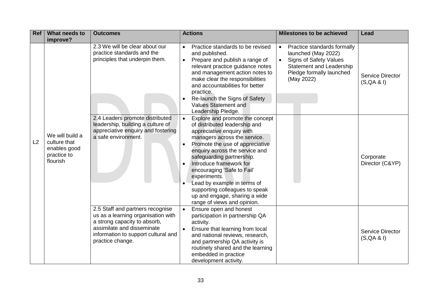| <b>Ref</b> | What needs to<br>improve?                                                  | <b>Outcomes</b>                                                                                                                                                                                 | <b>Actions</b>                                                                                                                                                                                                                                                                                                                                                                                                                                         | <b>Milestones to be achieved</b>                                                                                                                                              | Lead                            |
|------------|----------------------------------------------------------------------------|-------------------------------------------------------------------------------------------------------------------------------------------------------------------------------------------------|--------------------------------------------------------------------------------------------------------------------------------------------------------------------------------------------------------------------------------------------------------------------------------------------------------------------------------------------------------------------------------------------------------------------------------------------------------|-------------------------------------------------------------------------------------------------------------------------------------------------------------------------------|---------------------------------|
|            |                                                                            | 2.3 We will be clear about our<br>practice standards and the<br>principles that underpin them.                                                                                                  | Practice standards to be revised<br>$\bullet$<br>and published.<br>Prepare and publish a range of<br>$\bullet$<br>relevant practice guidance notes<br>and management action notes to<br>make clear the responsibilities<br>and accountabilities for better<br>practice.<br>Re-launch the Signs of Safety<br><b>Values Statement and</b><br>Leadership Pledge.                                                                                          | Practice standards formally<br>$\bullet$<br>launched (May 2022)<br><b>Signs of Safety Values</b><br><b>Statement and Leadership</b><br>Pledge formally launched<br>(May 2022) | Service Director<br>(S, QA & I) |
| L2         | We will build a<br>culture that<br>enables good<br>practice to<br>flourish | 2.4 Leaders promote distributed<br>leadership, building a culture of<br>appreciative enquiry and fostering<br>a safe environment.                                                               | Explore and promote the concept<br>$\bullet$<br>of distributed leadership and<br>appreciative enquiry with<br>managers across the service.<br>Promote the use of appreciative<br>enquiry across the service and<br>safeguarding partnership.<br>Introduce framework for<br>encouraging 'Safe to Fail'<br>experiments.<br>Lead by example in terms of<br>supporting colleagues to speak<br>up and engage, sharing a wide<br>range of views and opinion. |                                                                                                                                                                               | Corporate<br>Director (C&YP)    |
|            |                                                                            | 2.5 Staff and partners recognise<br>us as a learning organisation with<br>a strong capacity to absorb,<br>assimilate and disseminate<br>information to support cultural and<br>practice change. | Ensure open and honest<br>$\bullet$<br>participation in partnership QA<br>activity.<br>Ensure that learning from local<br>and national reviews, research,<br>and partnership QA activity is<br>routinely shared and the learning<br>embedded in practice<br>development activity.                                                                                                                                                                      |                                                                                                                                                                               | Service Director<br>(S, QA & I) |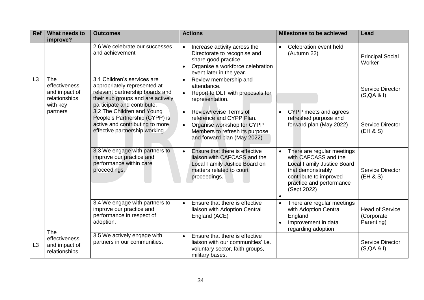| <b>Ref</b>     | What needs to<br>improve?                                                 | <b>Outcomes</b>                                                                                                                                                    | <b>Actions</b>                                                                                                                                                              | <b>Milestones to be achieved</b>                                                                                                                                                               | Lead                                               |
|----------------|---------------------------------------------------------------------------|--------------------------------------------------------------------------------------------------------------------------------------------------------------------|-----------------------------------------------------------------------------------------------------------------------------------------------------------------------------|------------------------------------------------------------------------------------------------------------------------------------------------------------------------------------------------|----------------------------------------------------|
|                |                                                                           | 2.6 We celebrate our successes<br>and achievement                                                                                                                  | Increase activity across the<br>$\bullet$<br>Directorate to recognise and<br>share good practice.<br>Organise a workforce celebration<br>event later in the year.           | Celebration event held<br>$\bullet$<br>(Autumn 22)                                                                                                                                             | <b>Principal Social</b><br>Worker                  |
| L <sub>3</sub> | <b>The</b><br>effectiveness<br>and impact of<br>relationships<br>with key | 3.1 Children's services are<br>appropriately represented at<br>relevant partnership boards and<br>their sub groups and are actively<br>participate and contribute. | Review membership and<br>$\bullet$<br>attendance.<br>Report to DLT with proposals for<br>$\bullet$<br>representation.                                                       |                                                                                                                                                                                                | <b>Service Director</b><br>(S, QA & I)             |
|                | partners                                                                  | 3.2 The Children and Young<br>People's Partnership (CYPP) is<br>active and contributing to more<br>effective partnership working                                   | Review/revise Terms of<br>$\bullet$<br>reference and CYPP Plan.<br>Organise workshop for CYPP<br>$\bullet$<br>Members to refresh its purpose<br>and forward plan (May 2022) | CYPP meets and agrees<br>$\bullet$<br>refreshed purpose and<br>forward plan (May 2022)                                                                                                         | <b>Service Director</b><br>(EH & S)                |
|                |                                                                           | 3.3 We engage with partners to<br>improve our practice and<br>performance within care<br>proceedings.                                                              | Ensure that there is effective<br>$\bullet$<br>liaison with CAFCASS and the<br>Local Family Justice Board on<br>matters related to court<br>proceedings.                    | There are regular meetings<br>$\bullet$<br>with CAFCASS and the<br><b>Local Family Justice Board</b><br>that demonstrably<br>contribute to improved<br>practice and performance<br>(Sept 2022) | <b>Service Director</b><br>(EH & S)                |
|                | The                                                                       | 3.4 We engage with partners to<br>improve our practice and<br>performance in respect of<br>adoption.                                                               | Ensure that there is effective<br>$\bullet$<br>liaison with Adoption Central<br>England (ACE)                                                                               | There are regular meetings<br>$\bullet$<br>with Adoption Central<br>England<br>Improvement in data<br>regarding adoption                                                                       | <b>Head of Service</b><br>(Corporate<br>Parenting) |
| L3             | effectiveness<br>and impact of<br>relationships                           | 3.5 We actively engage with<br>partners in our communities.                                                                                                        | Ensure that there is effective<br>$\bullet$<br>liaison with our communities' i.e.<br>voluntary sector, faith groups,<br>military bases.                                     |                                                                                                                                                                                                | <b>Service Director</b><br>(S, QA & I)             |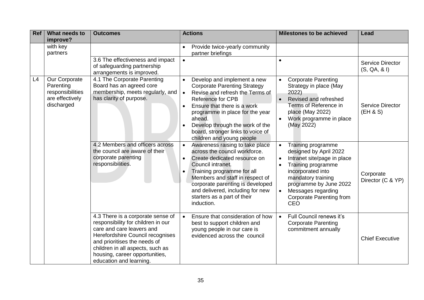| <b>Ref</b> | What needs to<br>improve?                                                       | <b>Outcomes</b>                                                                                                                                                                                                                                                           | <b>Actions</b>                                                                                                                                                                                                                                                                                                                                            | <b>Milestones to be achieved</b>                                                                                                                                                                                                       | Lead                                    |
|------------|---------------------------------------------------------------------------------|---------------------------------------------------------------------------------------------------------------------------------------------------------------------------------------------------------------------------------------------------------------------------|-----------------------------------------------------------------------------------------------------------------------------------------------------------------------------------------------------------------------------------------------------------------------------------------------------------------------------------------------------------|----------------------------------------------------------------------------------------------------------------------------------------------------------------------------------------------------------------------------------------|-----------------------------------------|
|            | with key<br>partners                                                            |                                                                                                                                                                                                                                                                           | Provide twice-yearly community<br>partner briefings                                                                                                                                                                                                                                                                                                       |                                                                                                                                                                                                                                        |                                         |
|            |                                                                                 | 3.6 The effectiveness and impact<br>of safeguarding partnership<br>arrangements is improved.                                                                                                                                                                              | $\bullet$                                                                                                                                                                                                                                                                                                                                                 |                                                                                                                                                                                                                                        | <b>Service Director</b><br>(S, QA, & I) |
| L4         | Our Corporate<br>Parenting<br>responsibilities<br>are effectively<br>discharged | 4.1 The Corporate Parenting<br>Board has an agreed core<br>membership, meets regularly, and<br>has clarity of purpose.                                                                                                                                                    | Develop and implement a new<br><b>Corporate Parenting Strategy</b><br>Revise and refresh the Terms of<br>$\bullet$<br><b>Reference for CPB</b><br>Ensure that there is a work<br>$\bullet$<br>programme in place for the year<br>ahead.<br>Develop through the work of the<br>$\bullet$<br>board, stronger links to voice of<br>children and young people | <b>Corporate Parenting</b><br>Strategy in place (May<br>2022)<br>Revised and refreshed<br>Terms of Reference in<br>place (May 2022)<br>Work programme in place<br>(May 2022)                                                           | <b>Service Director</b><br>(EH & S)     |
|            |                                                                                 | 4.2 Members and officers across<br>the council are aware of their<br>corporate parenting<br>responsibilities.                                                                                                                                                             | Awareness raising to take place<br>$\bullet$<br>across the council workforce.<br>Create dedicated resource on<br>$\bullet$<br>Council intranet.<br>Training programme for all<br>$\bullet$<br>Members and staff in respect of<br>corporate parenting is developed<br>and delivered, including for new<br>starters as a part of their<br>induction.        | Training programme<br>designed by April 2022<br>Intranet site/page in place<br>Training programme<br>incorporated into<br>mandatory training<br>programme by June 2022<br>Messages regarding<br><b>Corporate Parenting from</b><br>CEO | Corporate<br>Director (C & YP)          |
|            |                                                                                 | 4.3 There is a corporate sense of<br>responsibility for children in our<br>care and care leavers and<br>Herefordshire Council recognises<br>and prioritises the needs of<br>children in all aspects, such as<br>housing, career opportunities,<br>education and learning. | Ensure that consideration of how<br>$\bullet$<br>best to support children and<br>young people in our care is<br>evidenced across the council                                                                                                                                                                                                              | Full Council renews it's<br>$\bullet$<br><b>Corporate Parenting</b><br>commitment annually                                                                                                                                             | <b>Chief Executive</b>                  |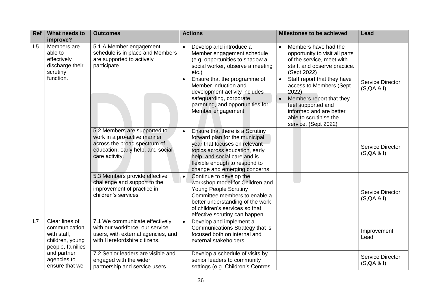| Ref | What needs to<br>improve?                                                             | <b>Outcomes</b>                                                                                                                                    | <b>Actions</b><br>Milestones to be achieved                                                                                                                                                                                                                                                                                                                                                                                                                                                                                                                                                                                                                                              | Lead                                   |
|-----|---------------------------------------------------------------------------------------|----------------------------------------------------------------------------------------------------------------------------------------------------|------------------------------------------------------------------------------------------------------------------------------------------------------------------------------------------------------------------------------------------------------------------------------------------------------------------------------------------------------------------------------------------------------------------------------------------------------------------------------------------------------------------------------------------------------------------------------------------------------------------------------------------------------------------------------------------|----------------------------------------|
| L5  | Members are<br>able to<br>effectively<br>discharge their<br>scrutiny<br>function.     | 5.1 A Member engagement<br>schedule is in place and Members<br>are supported to actively<br>participate.                                           | Members have had the<br>Develop and introduce a<br>$\bullet$<br>Member engagement schedule<br>opportunity to visit all parts<br>(e.g. opportunities to shadow a<br>of the service, meet with<br>social worker, observe a meeting<br>staff, and observe practice.<br>(Sept 2022)<br>$etc.$ )<br>Staff report that they have<br>Ensure that the programme of<br>$\bullet$<br>access to Members (Sept<br>Member induction and<br>development activity includes<br>2022)<br>safeguarding, corporate<br>Members report that they<br>parenting, and opportunities for<br>feel supported and<br>Member engagement.<br>informed and are better<br>able to scrutinise the<br>service. (Sept 2022) | <b>Service Director</b><br>(S, QA & I) |
|     |                                                                                       | 5.2 Members are supported to<br>work in a pro-active manner<br>across the broad spectrum of<br>education, early help, and social<br>care activity. | Ensure that there is a Scrutiny<br>forward plan for the municipal<br>year that focuses on relevant<br>topics across education, early<br>help, and social care and is<br>flexible enough to respond to<br>change and emerging concerns.                                                                                                                                                                                                                                                                                                                                                                                                                                                   | <b>Service Director</b><br>(S, QA & I) |
|     |                                                                                       | 5.3 Members provide effective<br>challenge and support to the<br>improvement of practice in<br>children's services                                 | Continue to develop the<br>workshop model for Children and<br><b>Young People Scrutiny</b><br>Committee members to enable a<br>better understanding of the work<br>of children's services so that<br>effective scrutiny can happen.                                                                                                                                                                                                                                                                                                                                                                                                                                                      | <b>Service Director</b><br>(S, QA & I) |
| L7  | Clear lines of<br>communication<br>with staff,<br>children, young<br>people, families | 7.1 We communicate effectively<br>with our workforce, our service<br>users, with external agencies, and<br>with Herefordshire citizens.            | Develop and implement a<br>Communications Strategy that is<br>focused both on internal and<br>external stakeholders.                                                                                                                                                                                                                                                                                                                                                                                                                                                                                                                                                                     | Improvement<br>Lead                    |
|     | and partner<br>agencies to<br>ensure that we                                          | 7.2 Senior leaders are visible and<br>engaged with the wider<br>partnership and service users.                                                     | Develop a schedule of visits by<br>senior leaders to community<br>settings (e.g. Children's Centres,                                                                                                                                                                                                                                                                                                                                                                                                                                                                                                                                                                                     | Service Director<br>(S, QA & I)        |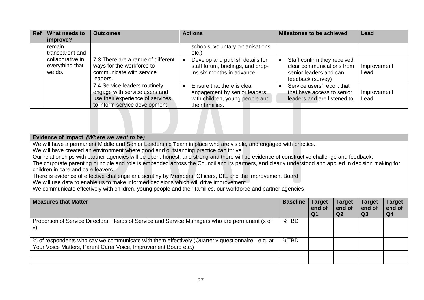| <b>Ref</b> | What needs to                                 | <b>Outcomes</b>                                                                                                                     | <b>Actions</b>                                                                                                   | <b>Milestones to be achieved</b>                                                                        | Lead                |
|------------|-----------------------------------------------|-------------------------------------------------------------------------------------------------------------------------------------|------------------------------------------------------------------------------------------------------------------|---------------------------------------------------------------------------------------------------------|---------------------|
|            | improve?                                      |                                                                                                                                     |                                                                                                                  |                                                                                                         |                     |
|            | remain<br>transparent and                     |                                                                                                                                     | schools, voluntary organisations<br>$etc.$ )                                                                     |                                                                                                         |                     |
|            | collaborative in<br>everything that<br>we do. | 7.3 There are a range of different<br>ways for the workforce to<br>communicate with service<br>leaders.                             | Develop and publish details for<br>staff forum, briefings, and drop-<br>ins six-months in advance.               | Staff confirm they received<br>clear communications from<br>senior leaders and can<br>feedback (survey) | Improvement<br>Lead |
|            |                                               | 7.4 Service leaders routinely<br>engage with service users and<br>use their experience of services<br>to inform service development | Ensure that there is clear<br>engagement by senior leaders<br>with children, young people and<br>their families. | Service users' report that<br>that have access to senior<br>leaders and are listened to.                | Improvement<br>Lead |

| Evidence of Impact (Where we want to be)                                                                                                              |                 |               |                |                |                |
|-------------------------------------------------------------------------------------------------------------------------------------------------------|-----------------|---------------|----------------|----------------|----------------|
| We will have a permanent Middle and Senior Leadership Team in place who are visible, and engaged with practice.                                       |                 |               |                |                |                |
| We will have created an environment where good and outstanding practice can thrive                                                                    |                 |               |                |                |                |
| Our relationships with partner agencies will be open, honest, and strong and there will be evidence of constructive challenge and feedback.           |                 |               |                |                |                |
| The corporate parenting principle and role is embedded across the Council and its partners, and clearly understood and applied in decision making for |                 |               |                |                |                |
| children in care and care leavers.                                                                                                                    |                 |               |                |                |                |
| There is evidence of effective challenge and scrutiny by Members, Officers, DfE and the Improvement Board                                             |                 |               |                |                |                |
| We will use data to enable us to make informed decisions which will drive improvement                                                                 |                 |               |                |                |                |
| We communicate effectively with children, young people and their families, our workforce and partner agencies                                         |                 |               |                |                |                |
|                                                                                                                                                       |                 |               |                |                |                |
| <b>Measures that Matter</b>                                                                                                                           | <b>Baseline</b> | <b>Target</b> | Target         | Target         | Target         |
|                                                                                                                                                       |                 | end of        | end of         | end of         | end of         |
|                                                                                                                                                       |                 | Q1            | Q <sub>2</sub> | Q <sub>3</sub> | Q <sub>4</sub> |
| Proportion of Service Directors, Heads of Service and Service Managers who are permanent (x of                                                        | %TBD            |               |                |                |                |
| V)                                                                                                                                                    |                 |               |                |                |                |
|                                                                                                                                                       |                 |               |                |                |                |
| % of respondents who say we communicate with them effectively (Quarterly questionnaire - e.g. at                                                      | %TBD            |               |                |                |                |
| Your Voice Matters, Parent Carer Voice, Improvement Board etc.)                                                                                       |                 |               |                |                |                |
|                                                                                                                                                       |                 |               |                |                |                |
|                                                                                                                                                       |                 |               |                |                |                |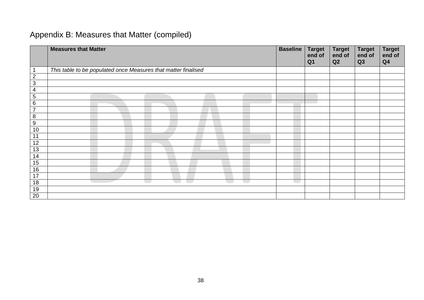## <span id="page-37-0"></span>Appendix B: Measures that Matter (compiled)

|                 | <b>Measures that Matter</b>                                    | <b>Baseline</b> | <b>Target</b><br>end of<br>Q <sub>1</sub> | <b>Target</b><br>end of<br>Q2 | <b>Target</b><br>end of<br>Q3 | <b>Target</b><br>end of<br>Q <sub>4</sub> |
|-----------------|----------------------------------------------------------------|-----------------|-------------------------------------------|-------------------------------|-------------------------------|-------------------------------------------|
|                 | This table to be populated once Measures that matter finalised |                 |                                           |                               |                               |                                           |
| $\overline{2}$  |                                                                |                 |                                           |                               |                               |                                           |
| 3               |                                                                |                 |                                           |                               |                               |                                           |
| 4               |                                                                |                 |                                           |                               |                               |                                           |
| $5\phantom{.0}$ |                                                                |                 |                                           |                               |                               |                                           |
| 6               |                                                                |                 |                                           |                               |                               |                                           |
| $\overline{7}$  |                                                                |                 |                                           |                               |                               |                                           |
| 8               |                                                                |                 |                                           |                               |                               |                                           |
| $9\,$           |                                                                |                 |                                           |                               |                               |                                           |
| 10              |                                                                |                 |                                           |                               |                               |                                           |
| 11              |                                                                |                 |                                           |                               |                               |                                           |
| 12              |                                                                |                 |                                           |                               |                               |                                           |
| 13              |                                                                |                 |                                           |                               |                               |                                           |
| 14              |                                                                |                 |                                           |                               |                               |                                           |
| 15              |                                                                |                 |                                           |                               |                               |                                           |
| 16              |                                                                |                 |                                           |                               |                               |                                           |
| 17              |                                                                |                 |                                           |                               |                               |                                           |
| 18              | <b>Contract</b>                                                |                 |                                           |                               |                               |                                           |
| 19              |                                                                |                 |                                           |                               |                               |                                           |
| 20              |                                                                |                 |                                           |                               |                               |                                           |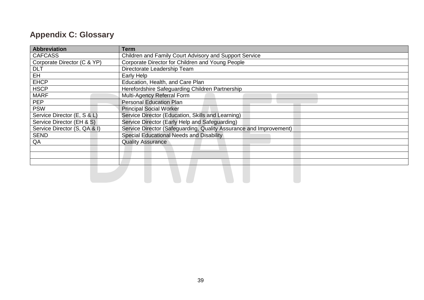## <span id="page-38-0"></span>**Appendix C: Glossary**

| <b>Abbreviation</b>          | <b>Term</b>                                                        |
|------------------------------|--------------------------------------------------------------------|
| <b>CAFCASS</b>               | Children and Family Court Advisory and Support Service             |
| Corporate Director (C & YP)  | Corporate Director for Children and Young People                   |
| <b>DLT</b>                   | Directorate Leadership Team                                        |
| EH                           | Early Help                                                         |
| <b>EHCP</b>                  | Education, Health, and Care Plan                                   |
| <b>HSCP</b>                  | Herefordshire Safeguarding Children Partnership                    |
| <b>MARF</b>                  | Multi-Agency Referral Form                                         |
| <b>PEP</b>                   | <b>Personal Education Plan</b>                                     |
| <b>PSW</b>                   | <b>Principal Social Worker</b>                                     |
| Service Director (E, S & L)  | Service Director (Education, Skills and Learning)                  |
| Service Director (EH & S)    | Service Director (Early Help and Safeguarding)                     |
| Service Director (S, QA & I) | Service Director (Safeguarding, Quality Assurance and Improvement) |
| <b>SEND</b>                  | Special Educational Needs and Disability                           |
| QA                           | <b>Quality Assurance</b>                                           |
|                              |                                                                    |
|                              |                                                                    |
|                              |                                                                    |
|                              |                                                                    |
|                              |                                                                    |
|                              |                                                                    |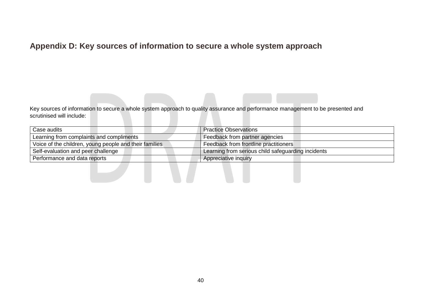## <span id="page-39-0"></span>**Appendix D: Key sources of information to secure a whole system approach**

Key sources of information to secure a whole system approach to quality assurance and performance management to be presented and scrutinised will include:

| Case audits                                            | <b>Practice Observations</b>                       |
|--------------------------------------------------------|----------------------------------------------------|
| Learning from complaints and compliments               | Feedback from partner agencies                     |
| Voice of the children, young people and their families | Feedback from frontline practitioners              |
| Self-evaluation and peer challenge                     | Learning from serious child safeguarding incidents |
| Performance and data reports                           | Appreciative inquiry                               |
|                                                        |                                                    |
|                                                        |                                                    |
|                                                        |                                                    |